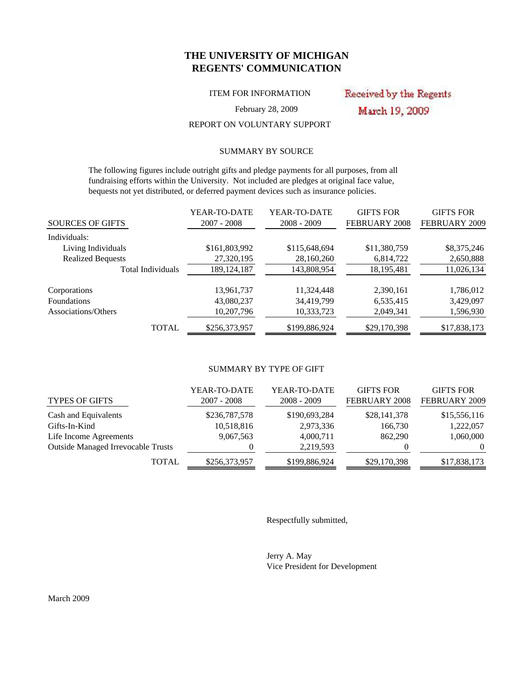## **THE UNIVERSITY OF MICHIGAN REGENTS' COMMUNICATION**

ITEM FOR INFORMATION

Received by the Regents March 19, 2009

February 28, 2009

## REPORT ON VOLUNTARY SUPPORT

## SUMMARY BY SOURCE

 The following figures include outright gifts and pledge payments for all purposes, from all fundraising efforts within the University. Not included are pledges at original face value, bequests not yet distributed, or deferred payment devices such as insurance policies.

|                          | YEAR-TO-DATE  | YEAR-TO-DATE  | <b>GIFTS FOR</b> | <b>GIFTS FOR</b> |
|--------------------------|---------------|---------------|------------------|------------------|
| <b>SOURCES OF GIFTS</b>  | 2007 - 2008   | $2008 - 2009$ | FEBRUARY 2008    | FEBRUARY 2009    |
| Individuals:             |               |               |                  |                  |
| Living Individuals       | \$161,803,992 | \$115,648,694 | \$11,380,759     | \$8,375,246      |
| <b>Realized Bequests</b> | 27,320,195    | 28,160,260    | 6,814,722        | 2,650,888        |
| Total Individuals        | 189, 124, 187 | 143,808,954   | 18,195,481       | 11,026,134       |
| Corporations             | 13,961,737    | 11,324,448    | 2,390,161        | 1,786,012        |
| <b>Foundations</b>       | 43,080,237    | 34,419,799    | 6,535,415        | 3,429,097        |
| Associations/Others      | 10,207,796    | 10,333,723    | 2,049,341        | 1,596,930        |
| <b>TOTAL</b>             | \$256,373,957 | \$199,886,924 | \$29,170,398     | \$17,838,173     |

### SUMMARY BY TYPE OF GIFT

| <b>TYPES OF GIFTS</b>                     | YEAR-TO-DATE<br>$2007 - 2008$ | YEAR-TO-DATE<br>$2008 - 2009$ | <b>GIFTS FOR</b><br><b>FEBRUARY 2008</b> | <b>GIFTS FOR</b><br>FEBRUARY 2009 |
|-------------------------------------------|-------------------------------|-------------------------------|------------------------------------------|-----------------------------------|
| Cash and Equivalents                      | \$236,787,578                 | \$190,693,284                 | \$28,141,378                             | \$15,556,116                      |
| Gifts-In-Kind                             | 10,518,816                    | 2,973,336                     | 166,730                                  | 1,222,057                         |
| Life Income Agreements                    | 9,067,563                     | 4,000,711                     | 862,290                                  | 1,060,000                         |
| <b>Outside Managed Irrevocable Trusts</b> |                               | 2,219,593                     |                                          | $\Omega$                          |
| <b>TOTAL</b>                              | \$256,373,957                 | \$199,886,924                 | \$29,170,398                             | \$17,838,173                      |

Respectfully submitted,

Jerry A. May Vice President for Development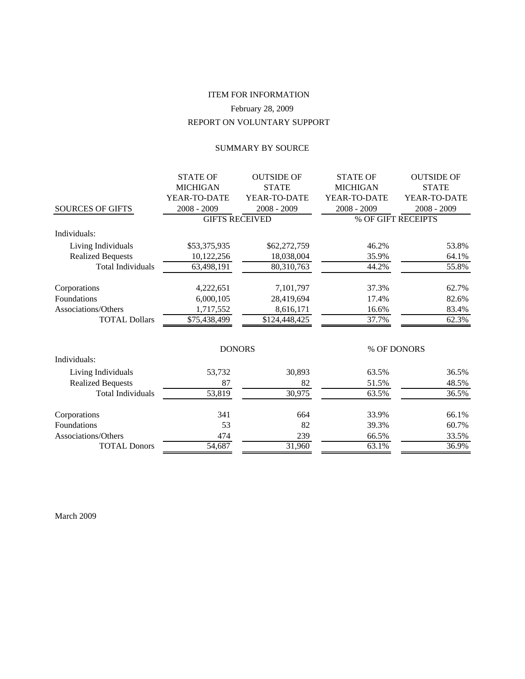# REPORT ON VOLUNTARY SUPPORT ITEM FOR INFORMATION February 28, 2009

## SUMMARY BY SOURCE

| <b>MICHIGAN</b><br><b>STATE</b><br><b>MICHIGAN</b><br><b>STATE</b><br>YEAR-TO-DATE<br>YEAR-TO-DATE<br>YEAR-TO-DATE<br>YEAR-TO-DATE<br><b>SOURCES OF GIFTS</b><br>2008 - 2009<br>2008 - 2009<br>$2008 - 2009$<br>$2008 - 2009$<br><b>GIFTS RECEIVED</b><br>% OF GIFT RECEIPTS<br>Individuals:<br>Living Individuals<br>\$53,375,935<br>\$62,272,759<br>46.2%<br>53.8%<br><b>Realized Bequests</b><br>64.1%<br>10,122,256<br>18,038,004<br>35.9%<br>55.8%<br><b>Total Individuals</b><br>44.2%<br>80,310,763<br>63,498,191<br>7,101,797<br>62.7%<br>Corporations<br>4,222,651<br>37.3%<br>Foundations<br>6,000,105<br>82.6%<br>28,419,694<br>17.4%<br>Associations/Others<br>1,717,552<br>8,616,171<br>16.6%<br>83.4%<br><b>TOTAL Dollars</b><br>37.7%<br>62.3%<br>\$75,438,499<br>\$124,448,425<br><b>DONORS</b><br>% OF DONORS<br>Individuals: |
|------------------------------------------------------------------------------------------------------------------------------------------------------------------------------------------------------------------------------------------------------------------------------------------------------------------------------------------------------------------------------------------------------------------------------------------------------------------------------------------------------------------------------------------------------------------------------------------------------------------------------------------------------------------------------------------------------------------------------------------------------------------------------------------------------------------------------------------------|
|                                                                                                                                                                                                                                                                                                                                                                                                                                                                                                                                                                                                                                                                                                                                                                                                                                                |
|                                                                                                                                                                                                                                                                                                                                                                                                                                                                                                                                                                                                                                                                                                                                                                                                                                                |
|                                                                                                                                                                                                                                                                                                                                                                                                                                                                                                                                                                                                                                                                                                                                                                                                                                                |
|                                                                                                                                                                                                                                                                                                                                                                                                                                                                                                                                                                                                                                                                                                                                                                                                                                                |
|                                                                                                                                                                                                                                                                                                                                                                                                                                                                                                                                                                                                                                                                                                                                                                                                                                                |
|                                                                                                                                                                                                                                                                                                                                                                                                                                                                                                                                                                                                                                                                                                                                                                                                                                                |
|                                                                                                                                                                                                                                                                                                                                                                                                                                                                                                                                                                                                                                                                                                                                                                                                                                                |
|                                                                                                                                                                                                                                                                                                                                                                                                                                                                                                                                                                                                                                                                                                                                                                                                                                                |
|                                                                                                                                                                                                                                                                                                                                                                                                                                                                                                                                                                                                                                                                                                                                                                                                                                                |
|                                                                                                                                                                                                                                                                                                                                                                                                                                                                                                                                                                                                                                                                                                                                                                                                                                                |
|                                                                                                                                                                                                                                                                                                                                                                                                                                                                                                                                                                                                                                                                                                                                                                                                                                                |
|                                                                                                                                                                                                                                                                                                                                                                                                                                                                                                                                                                                                                                                                                                                                                                                                                                                |
|                                                                                                                                                                                                                                                                                                                                                                                                                                                                                                                                                                                                                                                                                                                                                                                                                                                |
|                                                                                                                                                                                                                                                                                                                                                                                                                                                                                                                                                                                                                                                                                                                                                                                                                                                |
|                                                                                                                                                                                                                                                                                                                                                                                                                                                                                                                                                                                                                                                                                                                                                                                                                                                |
| Living Individuals<br>53,732<br>30,893<br>63.5%<br>36.5%                                                                                                                                                                                                                                                                                                                                                                                                                                                                                                                                                                                                                                                                                                                                                                                       |
| <b>Realized Bequests</b><br>51.5%<br>48.5%<br>87<br>82                                                                                                                                                                                                                                                                                                                                                                                                                                                                                                                                                                                                                                                                                                                                                                                         |
| 53,819<br>30,975<br><b>Total Individuals</b><br>36.5%<br>63.5%                                                                                                                                                                                                                                                                                                                                                                                                                                                                                                                                                                                                                                                                                                                                                                                 |
| 66.1%<br>Corporations<br>341<br>664<br>33.9%                                                                                                                                                                                                                                                                                                                                                                                                                                                                                                                                                                                                                                                                                                                                                                                                   |
| Foundations<br>53<br>82<br>39.3%<br>60.7%                                                                                                                                                                                                                                                                                                                                                                                                                                                                                                                                                                                                                                                                                                                                                                                                      |
| Associations/Others<br>474<br>239<br>33.5%<br>66.5%                                                                                                                                                                                                                                                                                                                                                                                                                                                                                                                                                                                                                                                                                                                                                                                            |
| <b>TOTAL Donors</b><br>54,687<br>31,960<br>63.1%<br>36.9%                                                                                                                                                                                                                                                                                                                                                                                                                                                                                                                                                                                                                                                                                                                                                                                      |

March 2009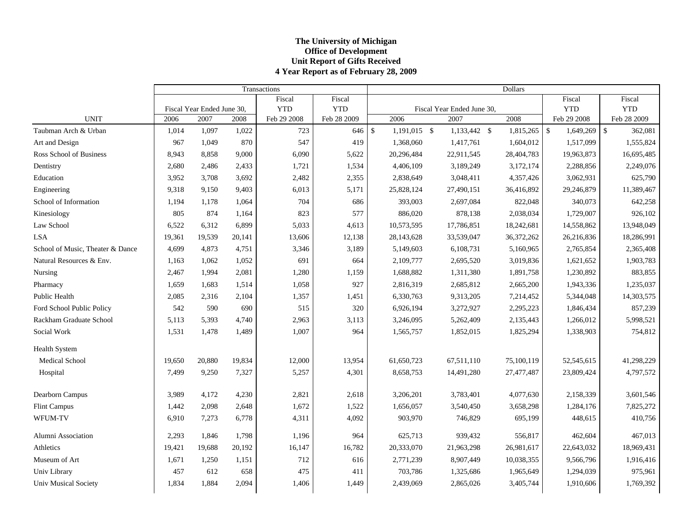### **The Universit y of Michi gan Office of Development Unit Report of Gifts Received 4 Year Report as of Februar y 28, 2009**

|                                  |        |                            |        | Transactions |             | <b>Dollars</b> |              |  |                            |  |            |                         |               |
|----------------------------------|--------|----------------------------|--------|--------------|-------------|----------------|--------------|--|----------------------------|--|------------|-------------------------|---------------|
|                                  |        |                            |        | Fiscal       | Fiscal      |                |              |  |                            |  |            | Fiscal                  | Fiscal        |
|                                  |        | Fiscal Year Ended June 30, |        | <b>YTD</b>   | <b>YTD</b>  |                |              |  | Fiscal Year Ended June 30, |  |            | <b>YTD</b>              | <b>YTD</b>    |
| <b>UNIT</b>                      | 2006   | 2007                       | 2008   | Feb 29 2008  | Feb 28 2009 |                | 2006         |  | 2007                       |  | 2008       | Feb 29 2008             | Feb 28 2009   |
| Taubman Arch & Urban             | 1,014  | 1,097                      | 1,022  | 723          | 646         | $\mathcal{S}$  | 1,191,015 \$ |  | 1,133,442 \$               |  | 1,815,265  | $\sqrt{3}$<br>1,649,269 | \$<br>362,081 |
| Art and Design                   | 967    | 1,049                      | 870    | 547          | 419         |                | 1,368,060    |  | 1,417,761                  |  | 1,604,012  | 1,517,099               | 1,555,824     |
| Ross School of Business          | 8,943  | 8,858                      | 9,000  | 6,090        | 5,622       |                | 20,296,484   |  | 22,911,545                 |  | 28,404,783 | 19,963,873              | 16,695,485    |
| Dentistry                        | 2,680  | 2,486                      | 2,433  | 1,721        | 1,534       |                | 4,406,109    |  | 3,189,249                  |  | 3,172,174  | 2,288,856               | 2,249,076     |
| Education                        | 3,952  | 3,708                      | 3,692  | 2,482        | 2,355       |                | 2,838,649    |  | 3,048,411                  |  | 4,357,426  | 3,062,931               | 625,790       |
| Engineering                      | 9,318  | 9,150                      | 9,403  | 6,013        | 5,171       |                | 25,828,124   |  | 27,490,151                 |  | 36,416,892 | 29,246,879              | 11,389,467    |
| School of Information            | 1,194  | 1,178                      | 1,064  | 704          | 686         |                | 393,003      |  | 2,697,084                  |  | 822,048    | 340,073                 | 642,258       |
| Kinesiology                      | 805    | 874                        | 1,164  | 823          | 577         |                | 886,020      |  | 878,138                    |  | 2,038,034  | 1,729,007               | 926,102       |
| Law School                       | 6,522  | 6,312                      | 6,899  | 5,033        | 4,613       |                | 10,573,595   |  | 17,786,851                 |  | 18,242,681 | 14,558,862              | 13,948,049    |
| <b>LSA</b>                       | 19,361 | 19,539                     | 20,141 | 13,606       | 12,138      |                | 28,143,628   |  | 33,539,047                 |  | 36,372,262 | 26,216,836              | 18,286,991    |
| School of Music, Theater & Dance | 4,699  | 4,873                      | 4,751  | 3,346        | 3,189       |                | 5,149,603    |  | 6,108,731                  |  | 5,160,965  | 2,765,854               | 2,365,408     |
| Natural Resources & Env.         | 1,163  | 1,062                      | 1,052  | 691          | 664         |                | 2,109,777    |  | 2,695,520                  |  | 3,019,836  | 1,621,652               | 1,903,783     |
| Nursing                          | 2,467  | 1,994                      | 2,081  | 1,280        | 1,159       |                | 1,688,882    |  | 1,311,380                  |  | 1,891,758  | 1,230,892               | 883,855       |
| Pharmacy                         | 1,659  | 1,683                      | 1,514  | 1,058        | 927         |                | 2,816,319    |  | 2,685,812                  |  | 2,665,200  | 1,943,336               | 1,235,037     |
| Public Health                    | 2,085  | 2,316                      | 2,104  | 1,357        | 1,451       |                | 6,330,763    |  | 9,313,205                  |  | 7,214,452  | 5,344,048               | 14,303,575    |
| Ford School Public Policy        | 542    | 590                        | 690    | 515          | 320         |                | 6,926,194    |  | 3,272,927                  |  | 2,295,223  | 1,846,434               | 857,239       |
| Rackham Graduate School          | 5,113  | 5,393                      | 4,740  | 2,963        | 3,113       |                | 3,246,095    |  | 5,262,409                  |  | 2,135,443  | 1,266,012               | 5,998,521     |
| Social Work                      | 1,531  | 1,478                      | 1,489  | 1,007        | 964         |                | 1,565,757    |  | 1,852,015                  |  | 1,825,294  | 1,338,903               | 754,812       |
| Health System                    |        |                            |        |              |             |                |              |  |                            |  |            |                         |               |
| <b>Medical School</b>            | 19,650 | 20,880                     | 19,834 | 12,000       | 13,954      |                | 61,650,723   |  | 67,511,110                 |  | 75,100,119 | 52,545,615              | 41,298,229    |
| Hospital                         | 7,499  | 9,250                      | 7,327  | 5,257        | 4,301       |                | 8,658,753    |  | 14,491,280                 |  | 27,477,487 | 23,809,424              | 4,797,572     |
| Dearborn Campus                  | 3,989  | 4,172                      | 4,230  | 2,821        | 2,618       |                | 3,206,201    |  | 3,783,401                  |  | 4,077,630  | 2,158,339               | 3,601,546     |
| <b>Flint Campus</b>              | 1,442  | 2,098                      | 2,648  | 1,672        | 1,522       |                | 1,656,057    |  | 3,540,450                  |  | 3,658,298  | 1,284,176               | 7,825,272     |
| WFUM-TV                          | 6,910  | 7,273                      | 6,778  | 4,311        | 4,092       |                | 903,970      |  | 746,829                    |  | 695,199    | 448,615                 | 410,756       |
| Alumni Association               | 2,293  | 1,846                      | 1,798  | 1,196        | 964         |                | 625,713      |  | 939,432                    |  | 556,817    | 462,604                 | 467,013       |
| Athletics                        | 19,421 | 19,688                     | 20,192 | 16,147       | 16,782      |                | 20,333,070   |  | 21,963,298                 |  | 26,981,617 | 22,643,032              | 18,969,431    |
| Museum of Art                    | 1,671  | 1,250                      | 1,151  | 712          | 616         |                | 2,771,239    |  | 8,907,449                  |  | 10,038,355 | 9,566,796               | 1,916,416     |
| Univ Library                     | 457    | 612                        | 658    | 475          | 411         |                | 703,786      |  | 1,325,686                  |  | 1,965,649  | 1,294,039               | 975,961       |
| <b>Univ Musical Society</b>      | 1,834  | 1,884                      | 2,094  | 1,406        | 1,449       |                | 2,439,069    |  | 2,865,026                  |  | 3,405,744  | 1,910,606               | 1,769,392     |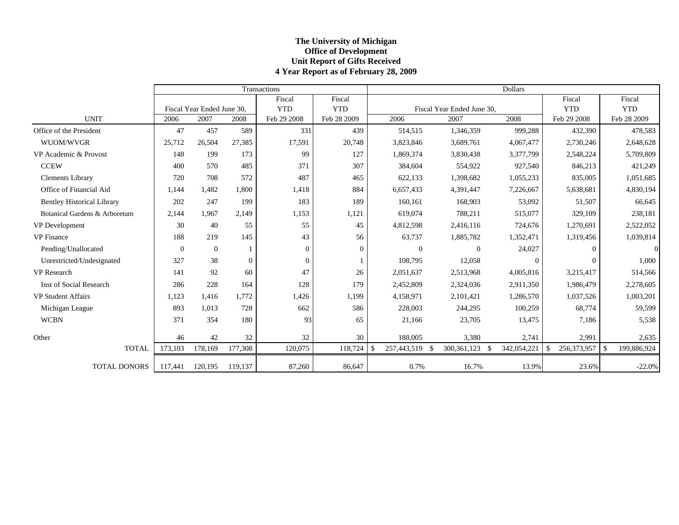## **The Universit y of Michi gan Office of Development Unit Report of Gifts Received 4 Year Report as of Februar y 28, 2009**

|                                   |          |                            |                  | Transactions |             |             |                            | <b>Dollars</b> |                             |                    |
|-----------------------------------|----------|----------------------------|------------------|--------------|-------------|-------------|----------------------------|----------------|-----------------------------|--------------------|
|                                   |          |                            |                  | Fiscal       | Fiscal      |             |                            |                | Fiscal                      | Fiscal             |
|                                   |          | Fiscal Year Ended June 30. |                  | <b>YTD</b>   | <b>YTD</b>  |             | Fiscal Year Ended June 30, |                | <b>YTD</b>                  | <b>YTD</b>         |
| <b>UNIT</b>                       | 2006     | 2007                       | 2008             | Feb 29 2008  | Feb 28 2009 | 2006        | 2007                       | 2008           | Feb 29 2008                 | Feb 28 2009        |
| Office of the President           | 47       | 457                        | 589              | 331          | 439         | 514,515     | 1,346,359                  | 999,288        | 432,390                     | 478,583            |
| WUOM/WVGR                         | 25,712   | 26,504                     | 27,385           | 17,591       | 20,748      | 3,823,846   | 3,689,761                  | 4,067,477      | 2,730,246                   | 2,648,628          |
| VP Academic & Provost             | 148      | 199                        | 173              | 99           | 127         | 1,869,374   | 3,830,438                  | 3,377,799      | 2,548,224                   | 5,709,809          |
| <b>CCEW</b>                       | 400      | 570                        | 485              | 371          | 307         | 384,604     | 554,922                    | 927,540        | 846,213                     | 421,249            |
| <b>Clements Library</b>           | 720      | 708                        | 572              | 487          | 465         | 622,133     | 1,398,682                  | 1,055,233      | 835,005                     | 1,051,685          |
| Office of Financial Aid           | 1,144    | 1,482                      | 1,800            | 1,418        | 884         | 6,657,433   | 4,391,447                  | 7,226,667      | 5,638,681                   | 4,830,194          |
| <b>Bentley Historical Library</b> | 202      | 247                        | 199              | 183          | 189         | 160,161     | 168,903                    | 53,092         | 51,507                      | 66,645             |
| Botanical Gardens & Arboretum     | 2,144    | 1.967                      | 2,149            | 1,153        | 1,121       | 619,074     | 788,211                    | 515,077        | 329,109                     | 238,181            |
| VP Development                    | 30       | 40                         | 55               | 55           | 45          | 4,812,598   | 2,416,116                  | 724,676        | 1,270,691                   | 2,522,052          |
| <b>VP</b> Finance                 | 188      | 219                        | 145              | 43           | 56          | 63,737      | 1,885,782                  | 1,352,471      | 1,319,456                   | 1,039,814          |
| Pending/Unallocated               | $\Omega$ | $\theta$                   |                  | $\mathbf{0}$ | $\Omega$    | $\theta$    | $\Omega$                   | 24,027         | $\Omega$                    | $\Omega$           |
| Unrestricted/Undesignated         | 327      | 38                         | $\boldsymbol{0}$ | $\Omega$     |             | 108,795     | 12,058                     | $\overline{0}$ | $\Omega$                    | 1,000              |
| <b>VP</b> Research                | 141      | 92                         | 60               | 47           | 26          | 2,051,637   | 2,513,968                  | 4,005,816      | 3,215,417                   | 514,566            |
| <b>Inst of Social Research</b>    | 286      | 228                        | 164              | 128          | 179         | 2,452,809   | 2,324,036                  | 2,911,350      | 1,986,479                   | 2,278,605          |
| <b>VP Student Affairs</b>         | 1,123    | 1,416                      | 1,772            | 1,426        | 1,199       | 4,158,971   | 2,101,421                  | 1,286,570      | 1,037,526                   | 1,003,201          |
| Michigan League                   | 893      | 1,013                      | 728              | 662          | 586         | 228,003     | 244,295                    | 100,259        | 68,774                      | 59,599             |
| <b>WCBN</b>                       | 371      | 354                        | 180              | 93           | 65          | 21,166      | 23,705                     | 13,475         | 7,186                       | 5,538              |
| Other                             | 46       | 42                         | 32               | 32           | 30          | 188,005     | 3,380                      | 2,741          | 2,991                       | 2,635              |
| <b>TOTAL</b>                      | 173,103  | 178,169                    | 177,308          | 120,075      | 118,724     | 257,443,519 | 300, 361, 123<br>-\$       | 342,054,221    | $\mathbb{S}$<br>256,373,957 | -\$<br>199,886,924 |
| <b>TOTAL DONORS</b>               | 117,441  | 120.195                    | 119,137          | 87,260       | 86,647      | 0.7%        | 16.7%                      | 13.9%          | 23.6%                       | $-22.0%$           |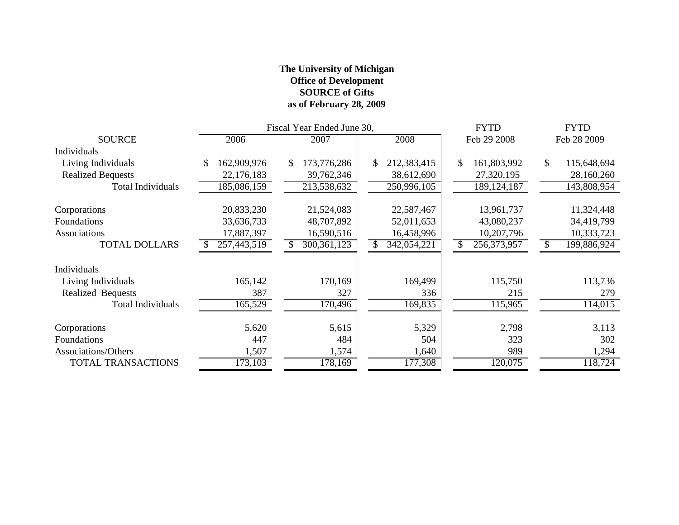## **The University of Michigan Office of Development SOURCE of Gifts as of February 28, 2009**

|                          |                   | Fiscal Year Ended June 30, |                   | <b>FYTD</b>       | <b>FYTD</b>       |
|--------------------------|-------------------|----------------------------|-------------------|-------------------|-------------------|
| <b>SOURCE</b>            | 2006              | 2007                       | 2008              | Feb 29 2008       | Feb 28 2009       |
| Individuals              |                   |                            |                   |                   |                   |
| Living Individuals       | 162,909,976<br>\$ | 173,776,286<br>\$          | 212,383,415<br>\$ | \$<br>161,803,992 | 115,648,694<br>\$ |
| <b>Realized Bequests</b> | 22,176,183        | 39,762,346                 | 38,612,690        | 27,320,195        | 28,160,260        |
| Total Individuals        | 185,086,159       | 213,538,632                | 250,996,105       | 189, 124, 187     | 143,808,954       |
| Corporations             | 20,833,230        | 21,524,083                 | 22,587,467        | 13,961,737        | 11,324,448        |
| Foundations              | 33,636,733        | 48,707,892                 | 52,011,653        | 43,080,237        | 34,419,799        |
| Associations             | 17,887,397        | 16,590,516                 | 16,458,996        | 10,207,796        | 10,333,723        |
| <b>TOTAL DOLLARS</b>     | 257,443,519       | 300, 361, 123              | 342,054,221       | 256,373,957       | 199,886,924       |
| Individuals              |                   |                            |                   |                   |                   |
| Living Individuals       | 165,142           | 170,169                    | 169,499           | 115,750           | 113,736           |
| <b>Realized Bequests</b> | 387               | 327                        | 336               | 215               | 279               |
| <b>Total Individuals</b> | 165,529           | 170,496                    | 169,835           | 115,965           | 114,015           |
| Corporations             | 5,620             | 5,615                      | 5,329             | 2,798             | 3,113             |
| Foundations              | 447               | 484                        | 504               | 323               | 302               |
| Associations/Others      | 1,507             | 1,574                      | 1,640             | 989               | 1,294             |
| TOTAL TRANSACTIONS       | 173,103           | 178,169                    | 177,308           | 120,075           | 118,724           |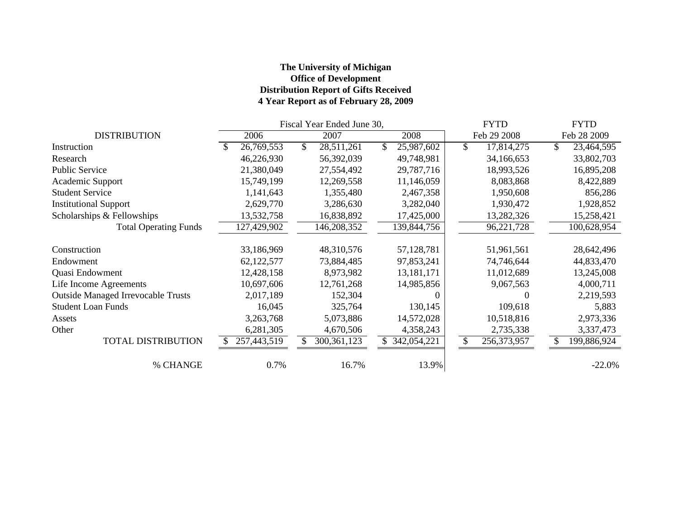## **The University of Michigan Office of Development Distribution Report of Gifts Received 4 Year Report as of February 28, 2009**

|                                           | Fiscal Year Ended June 30, |             |    |               |  |             |              | <b>FYTD</b> | <b>FYTD</b>  |             |  |
|-------------------------------------------|----------------------------|-------------|----|---------------|--|-------------|--------------|-------------|--------------|-------------|--|
| <b>DISTRIBUTION</b>                       |                            | 2006        |    | 2007          |  | 2008        |              | Feb 29 2008 |              | Feb 28 2009 |  |
| Instruction                               |                            | 26,769,553  | \$ | 28,511,261    |  | 25,987,602  | $\mathbb{S}$ | 17,814,275  | $\mathbb{S}$ | 23,464,595  |  |
| Research                                  |                            | 46,226,930  |    | 56,392,039    |  | 49,748,981  |              | 34,166,653  |              | 33,802,703  |  |
| <b>Public Service</b>                     |                            | 21,380,049  |    | 27,554,492    |  | 29,787,716  |              | 18,993,526  |              | 16,895,208  |  |
| Academic Support                          |                            | 15,749,199  |    | 12,269,558    |  | 11,146,059  |              | 8,083,868   |              | 8,422,889   |  |
| <b>Student Service</b>                    |                            | 1,141,643   |    | 1,355,480     |  | 2,467,358   |              | 1,950,608   |              | 856,286     |  |
| <b>Institutional Support</b>              |                            | 2,629,770   |    | 3,286,630     |  | 3,282,040   |              | 1,930,472   |              | 1,928,852   |  |
| Scholarships & Fellowships                |                            | 13,532,758  |    | 16,838,892    |  | 17,425,000  |              | 13,282,326  |              | 15,258,421  |  |
| <b>Total Operating Funds</b>              |                            | 127,429,902 |    | 146,208,352   |  | 139,844,756 |              | 96,221,728  |              | 100,628,954 |  |
| Construction                              |                            | 33,186,969  |    | 48,310,576    |  | 57,128,781  |              | 51,961,561  |              | 28,642,496  |  |
| Endowment                                 |                            | 62,122,577  |    | 73,884,485    |  | 97,853,241  |              | 74,746,644  |              | 44,833,470  |  |
| Quasi Endowment                           |                            | 12,428,158  |    | 8,973,982     |  | 13,181,171  |              | 11,012,689  |              | 13,245,008  |  |
| Life Income Agreements                    |                            | 10,697,606  |    | 12,761,268    |  | 14,985,856  |              | 9,067,563   |              | 4,000,711   |  |
| <b>Outside Managed Irrevocable Trusts</b> |                            | 2,017,189   |    | 152,304       |  |             |              | $\Omega$    |              | 2,219,593   |  |
| <b>Student Loan Funds</b>                 |                            | 16,045      |    | 325,764       |  | 130,145     |              | 109,618     |              | 5,883       |  |
| Assets                                    |                            | 3,263,768   |    | 5,073,886     |  | 14,572,028  |              | 10,518,816  |              | 2,973,336   |  |
| Other                                     |                            | 6,281,305   |    | 4,670,506     |  | 4,358,243   |              | 2,735,338   |              | 3,337,473   |  |
| <b>TOTAL DISTRIBUTION</b>                 |                            | 257,443,519 |    | 300, 361, 123 |  | 342,054,221 | \$           | 256,373,957 | S            | 199,886,924 |  |
| % CHANGE                                  |                            | 0.7%        |    | 16.7%         |  | 13.9%       |              |             |              | $-22.0%$    |  |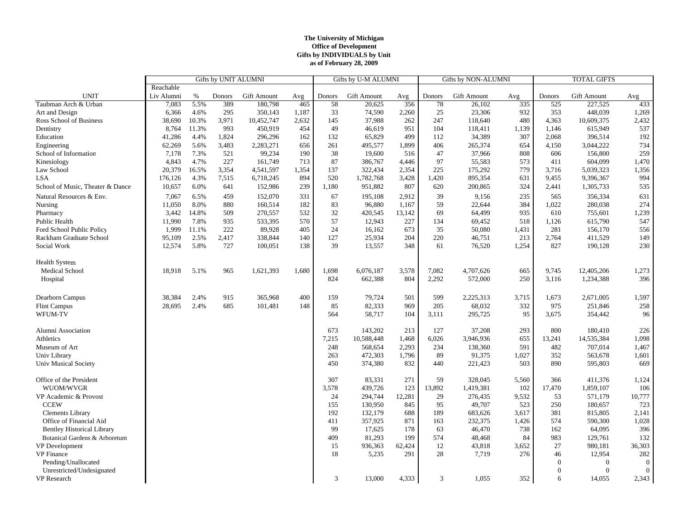#### **The University of Michigan Office of Development Gifts by INDIVIDUALS by Unit as of February 28, 2009**

|                                   | Gifts by UNIT ALUMNI |       |        |             |       | Gifts by U-M ALUMNI |             |        |        | <b>Gifts by NON-ALUMNI</b> |       | <b>TOTAL GIFTS</b> |                    |                  |
|-----------------------------------|----------------------|-------|--------|-------------|-------|---------------------|-------------|--------|--------|----------------------------|-------|--------------------|--------------------|------------------|
|                                   | Reachable            |       |        |             |       |                     |             |        |        |                            |       |                    |                    |                  |
| <b>UNIT</b>                       | Liv Alumni           | $\%$  | Donors | Gift Amount | Avg   | Donors              | Gift Amount | Avg    | Donors | Gift Amount                | Avg   | Donors             | <b>Gift Amount</b> | Avg              |
| Taubman Arch & Urban              | 7,083                | 5.5%  | 389    | 180,798     | 465   | 58                  | 20,625      | 356    | 78     | 26,102                     | 335   | 525                | 227,525            | 433              |
| Art and Design                    | 6,366                | 4.6%  | 295    | 350,143     | 1,187 | 33                  | 74,590      | 2,260  | 25     | 23,306                     | 932   | 353                | 448,039            | 1,269            |
| Ross School of Business           | 38,690               | 10.3% | 3,971  | 10,452,747  | 2,632 | 145                 | 37,988      | 262    | 247    | 118,640                    | 480   | 4,363              | 10,609,375         | 2,432            |
| Dentistry                         | 8,764                | 11.3% | 993    | 450,919     | 454   | 49                  | 46,619      | 951    | 104    | 118,411                    | 1,139 | 1,146              | 615,949            | 537              |
| Education                         | 41,286               | 4.4%  | 1,824  | 296,296     | 162   | 132                 | 65,829      | 499    | 112    | 34,389                     | 307   | 2,068              | 396,514            | 192              |
| Engineering                       | 62,269               | 5.6%  | 3,483  | 2,283,271   | 656   | 261                 | 495,577     | 1,899  | 406    | 265,374                    | 654   | 4,150              | 3,044,222          | 734              |
| School of Information             | 7,178                | 7.3%  | 521    | 99,234      | 190   | 38                  | 19,600      | 516    | 47     | 37,966                     | 808   | 606                | 156,800            | 259              |
| Kinesiology                       | 4,843                | 4.7%  | 227    | 161,749     | 713   | 87                  | 386,767     | 4,446  | 97     | 55,583                     | 573   | 411                | 604,099            | 1,470            |
| Law School                        | 20,379               | 16.5% | 3,354  | 4,541,597   | 1,354 | 137                 | 322,434     | 2,354  | 225    | 175,292                    | 779   | 3,716              | 5,039,323          | 1,356            |
| LSA                               | 176,126              | 4.3%  | 7,515  | 6,718,245   | 894   | 520                 | 1,782,768   | 3,428  | 1,420  | 895,354                    | 631   | 9,455              | 9,396,367          | 994              |
| School of Music, Theater & Dance  | 10,657               | 6.0%  | 641    | 152,986     | 239   | 1,180               | 951,882     | 807    | 620    | 200,865                    | 324   | 2,441              | 1,305,733          | 535              |
| Natural Resources & Env.          | 7,067                | 6.5%  | 459    | 152,070     | 331   | 67                  | 195,108     | 2,912  | 39     | 9,156                      | 235   | 565                | 356,334            | 631              |
| Nursing                           | 11,050               | 8.0%  | 880    | 160,514     | 182   | 83                  | 96,880      | 1,167  | 59     | 22,644                     | 384   | 1,022              | 280,038            | 274              |
| Pharmacy                          | 3,442                | 14.8% | 509    | 270,557     | 532   | 32                  | 420,545     | 13,142 | 69     | 64,499                     | 935   | 610                | 755,601            | 1,239            |
| Public Health                     | 11,990               | 7.8%  | 935    | 533,395     | 570   | 57                  | 12,943      | 227    | 134    | 69,452                     | 518   | 1,126              | 615,790            | 547              |
| Ford School Public Policy         | 1,999                | 11.1% | 222    | 89,928      | 405   | 24                  | 16,162      | 673    | 35     | 50,080                     | 1,431 | 281                | 156,170            | 556              |
| Rackham Graduate School           | 95,109               | 2.5%  | 2,417  | 338,844     | 140   | 127                 | 25,934      | 204    | 220    | 46,751                     | 213   | 2,764              | 411,529            | 149              |
| Social Work                       | 12,574               | 5.8%  | 727    | 100,051     | 138   | 39                  | 13,557      | 348    | 61     | 76,520                     | 1,254 | 827                | 190,128            | 230              |
|                                   |                      |       |        |             |       |                     |             |        |        |                            |       |                    |                    |                  |
| <b>Health System</b>              |                      |       |        |             |       |                     |             |        |        |                            |       |                    |                    |                  |
| Medical School                    | 18,918               | 5.1%  | 965    | 1,621,393   | 1,680 | 1,698               | 6,076,187   | 3,578  | 7,082  | 4,707,626                  | 665   | 9,745              | 12,405,206         | 1,273            |
| Hospital                          |                      |       |        |             |       | 824                 | 662,388     | 804    | 2,292  | 572,000                    | 250   | 3,116              | 1,234,388          | 396              |
|                                   |                      |       |        |             |       |                     |             |        |        |                            |       |                    |                    |                  |
| Dearborn Campus                   | 38,384               | 2.4%  | 915    | 365,968     | 400   | 159                 | 79,724      | 501    | 599    | 2,225,313                  | 3,715 | 1,673              | 2,671,005          | 1,597            |
|                                   |                      | 2.4%  | 685    |             | 148   | 85                  | 82,333      | 969    | 205    | 68,032                     | 332   | 975                | 251,846            |                  |
| <b>Flint Campus</b><br>WFUM-TV    | 28,695               |       |        | 101,481     |       | 564                 | 58,717      | 104    | 3,111  | 295,725                    | 95    | 3,675              | 354,442            | 258<br>96        |
|                                   |                      |       |        |             |       |                     |             |        |        |                            |       |                    |                    |                  |
| Alumni Association                |                      |       |        |             |       | 673                 | 143,202     | 213    | 127    | 37,208                     | 293   | 800                | 180,410            | 226              |
| Athletics                         |                      |       |        |             |       | 7,215               | 10,588,448  | 1,468  | 6,026  | 3,946,936                  | 655   | 13,241             | 14,535,384         | 1,098            |
| Museum of Art                     |                      |       |        |             |       | 248                 | 568,654     | 2,293  | 234    | 138,360                    | 591   | 482                | 707,014            | 1,467            |
| Univ Library                      |                      |       |        |             |       | 263                 | 472,303     | 1,796  | 89     | 91,375                     | 1,027 | 352                | 563,678            | 1,601            |
| <b>Univ Musical Society</b>       |                      |       |        |             |       | 450                 | 374,380     | 832    | 440    | 221,423                    | 503   | 890                | 595,803            | 669              |
|                                   |                      |       |        |             |       |                     |             |        |        |                            |       |                    |                    |                  |
| Office of the President           |                      |       |        |             |       | 307                 | 83,331      | 271    | 59     | 328,045                    | 5,560 | 366                | 411,376            | 1,124            |
| WUOM/WVGR                         |                      |       |        |             |       | 3,578               | 439,726     | 123    | 13,892 | 1,419,381                  | 102   | 17,470             | 1,859,107          | 106              |
| VP Academic & Provost             |                      |       |        |             |       | 24                  | 294,744     | 12,281 | 29     | 276,435                    | 9,532 | 53                 | 571,179            | 10,777           |
| <b>CCEW</b>                       |                      |       |        |             |       | 155                 | 130,950     | 845    | 95     | 49,707                     | 523   | 250                | 180,657            | 723              |
| <b>Clements Library</b>           |                      |       |        |             |       | 192                 | 132,179     | 688    | 189    | 683,626                    | 3,617 | 381                | 815,805            | 2,141            |
| Office of Financial Aid           |                      |       |        |             |       | 411                 | 357,925     | 871    | 163    | 232,375                    | 1,426 | 574                | 590,300            | 1,028            |
| <b>Bentley Historical Library</b> |                      |       |        |             |       | 99                  | 17,625      | 178    | 63     | 46,470                     | 738   | 162                | 64,095             | 396              |
| Botanical Gardens & Arboretum     |                      |       |        |             |       | 409                 | 81,293      | 199    | 574    | 48,468                     | 84    | 983                | 129,761            | 132              |
| <b>VP</b> Development             |                      |       |        |             |       | 15                  | 936,363     | 62,424 | 12     | 43,818                     | 3,652 | 27                 | 980,181            | 36,303           |
| <b>VP</b> Finance                 |                      |       |        |             |       | 18                  | 5,235       | 291    | 28     | 7,719                      | 276   | 46                 | 12,954             | 282              |
| Pending/Unallocated               |                      |       |        |             |       |                     |             |        |        |                            |       | $\Omega$           | $\bf{0}$           | $\boldsymbol{0}$ |
| Unrestricted/Undesignated         |                      |       |        |             |       |                     |             |        |        |                            |       | $\Omega$           | $\overline{0}$     | $\overline{0}$   |
| VP Research                       |                      |       |        |             |       | $\mathfrak{Z}$      | 13,000      | 4,333  | 3      | 1,055                      | 352   | 6                  | 14,055             | 2,343            |
|                                   |                      |       |        |             |       |                     |             |        |        |                            |       |                    |                    |                  |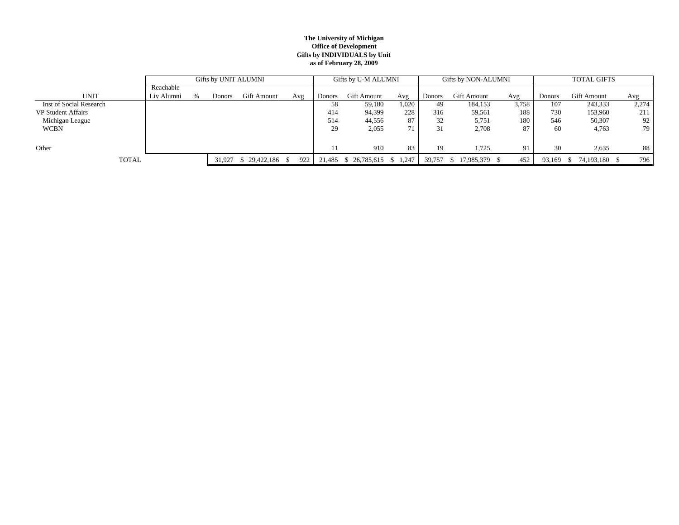#### **The University of Michigan Office of Development Gifts by INDIVIDUALS by Unit as of February 28, 2009**

|                           |            | Gifts by UNIT ALUMNI |        |             |       |        | Gifts by U-M ALUMNI    |       |        | Gifts by NON-ALUMNI    |       | <b>TOTAL GIFTS</b> |               |       |
|---------------------------|------------|----------------------|--------|-------------|-------|--------|------------------------|-------|--------|------------------------|-------|--------------------|---------------|-------|
|                           | Reachable  |                      |        |             |       |        |                        |       |        |                        |       |                    |               |       |
| <b>UNIT</b>               | Liv Alumni | $\%$                 | Donors | Gift Amount | Avg   | Donors | Gift Amount            | Avg   | Donors | <b>Gift Amount</b>     | Avg   | Donors             | Gift Amount   | Avg   |
| Inst of Social Research   |            |                      |        |             |       | 58     | 59,180                 | 1,020 | 49.    | 184,153                | 3,758 | 107                | 243,333       | 2,274 |
| <b>VP Student Affairs</b> |            |                      |        |             |       | 414    | 94,399                 | 228   | 316    | 59,561                 | 188   | 730                | 153,960       | 211   |
| Michigan League           |            |                      |        |             |       | 514    | 44,556                 | 87    | 32     | 5,751                  | 180   | 546                | 50,307        | 92    |
| <b>WCBN</b>               |            |                      |        |             |       | 29     | 2,055                  |       | 31     | 2,708                  | 87    | 60                 | 4,763         | 79 I  |
|                           |            |                      |        |             |       |        |                        |       |        |                        |       |                    |               |       |
| Other                     |            |                      |        |             |       |        | 910                    | 83    | 19     | 1,725                  | 91    | 30                 | 2,635         | 88    |
| <b>TOTAL</b>              |            |                      | 31.927 |             | 922 l | 21,485 | $$26,785,615$ $$1,247$ |       | 39.757 | 17,985,379 \$<br>- S-1 | 452   | 93,169             | 74,193,180 \$ | 796   |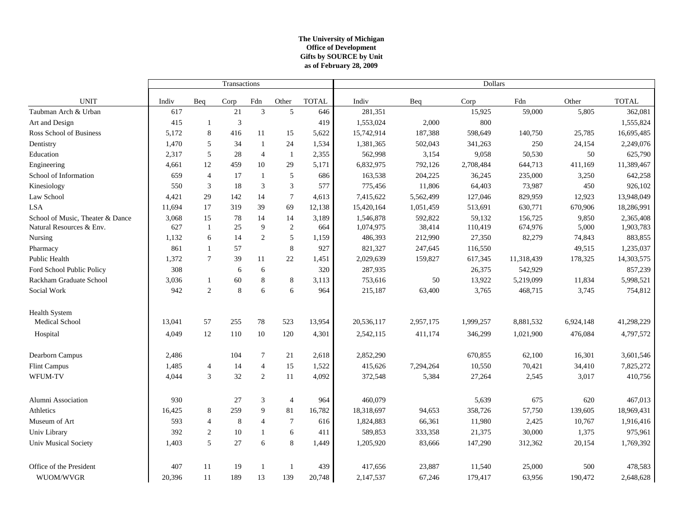#### **The University of Michigan Office of Development as of February 28, 2009 Gifts by SOURCE by Unit**

|                                  |        |                | Transactions |                |                |              | Dollars    |           |           |            |           |              |  |
|----------------------------------|--------|----------------|--------------|----------------|----------------|--------------|------------|-----------|-----------|------------|-----------|--------------|--|
| <b>UNIT</b>                      | Indiv  | Beq            | Corp         | Fdn            | Other          | <b>TOTAL</b> | Indiv      | Beq       | Corp      | Fdn        | Other     | <b>TOTAL</b> |  |
| Taubman Arch & Urban             | 617    |                | 21           | $\mathfrak{Z}$ | 5              | 646          | 281,351    |           | 15,925    | 59,000     | 5,805     | 362,081      |  |
| Art and Design                   | 415    | -1             | 3            |                |                | 419          | 1,553,024  | 2,000     | 800       |            |           | 1,555,824    |  |
| Ross School of Business          | 5,172  | $\,8\,$        | 416          | 11             | 15             | 5,622        | 15,742,914 | 187,388   | 598,649   | 140,750    | 25,785    | 16,695,485   |  |
| Dentistry                        | 1,470  | 5              | 34           | 1              | 24             | 1,534        | 1,381,365  | 502,043   | 341,263   | 250        | 24,154    | 2,249,076    |  |
| Education                        | 2,317  | 5              | 28           | $\overline{4}$ | $\overline{1}$ | 2,355        | 562,998    | 3,154     | 9,058     | 50,530     | 50        | 625,790      |  |
| Engineering                      | 4,661  | 12             | 459          | 10             | 29             | 5,171        | 6,832,975  | 792,126   | 2,708,484 | 644,713    | 411,169   | 11,389,467   |  |
| School of Information            | 659    | $\overline{4}$ | 17           | 1              | 5              | 686          | 163,538    | 204,225   | 36,245    | 235,000    | 3,250     | 642,258      |  |
| Kinesiology                      | 550    | 3              | 18           | $\mathfrak{Z}$ | $\mathfrak{Z}$ | 577          | 775,456    | 11,806    | 64,403    | 73,987     | 450       | 926,102      |  |
| Law School                       | 4,421  | 29             | 142          | 14             | $\tau$         | 4,613        | 7,415,622  | 5,562,499 | 127,046   | 829,959    | 12,923    | 13,948,049   |  |
| <b>LSA</b>                       | 11,694 | 17             | 319          | 39             | 69             | 12,138       | 15,420,164 | 1,051,459 | 513,691   | 630,771    | 670,906   | 18,286,991   |  |
| School of Music, Theater & Dance | 3,068  | 15             | 78           | 14             | 14             | 3,189        | 1,546,878  | 592,822   | 59,132    | 156,725    | 9,850     | 2,365,408    |  |
| Natural Resources & Env.         | 627    | $\mathbf{1}$   | 25           | 9              | 2              | 664          | 1,074,975  | 38,414    | 110,419   | 674,976    | 5,000     | 1,903,783    |  |
| Nursing                          | 1,132  | 6              | 14           | $\sqrt{2}$     | 5              | 1,159        | 486,393    | 212,990   | 27,350    | 82,279     | 74,843    | 883,855      |  |
| Pharmacy                         | 861    | $\mathbf{1}$   | 57           |                | 8              | 927          | 821,327    | 247,645   | 116,550   |            | 49,515    | 1,235,037    |  |
| Public Health                    | 1,372  | $\tau$         | 39           | 11             | 22             | 1,451        | 2,029,639  | 159,827   | 617,345   | 11,318,439 | 178,325   | 14,303,575   |  |
| Ford School Public Policy        | 308    |                | 6            | 6              |                | 320          | 287,935    |           | 26,375    | 542,929    |           | 857,239      |  |
| Rackham Graduate School          | 3,036  | -1             | 60           | $\,8\,$        | 8              | 3,113        | 753,616    | 50        | 13,922    | 5,219,099  | 11,834    | 5,998,521    |  |
| Social Work                      | 942    | 2              | 8            | 6              | 6              | 964          | 215,187    | 63,400    | 3,765     | 468,715    | 3,745     | 754,812      |  |
| <b>Health System</b>             |        |                |              |                |                |              |            |           |           |            |           |              |  |
| Medical School                   | 13,041 | 57             | 255          | 78             | 523            | 13,954       | 20,536,117 | 2,957,175 | 1,999,257 | 8,881,532  | 6,924,148 | 41,298,229   |  |
| Hospital                         | 4,049  | 12             | 110          | 10             | 120            | 4,301        | 2,542,115  | 411,174   | 346,299   | 1,021,900  | 476,084   | 4,797,572    |  |
| Dearborn Campus                  | 2,486  |                | 104          | $\tau$         | 21             | 2,618        | 2,852,290  |           | 670,855   | 62,100     | 16,301    | 3,601,546    |  |
| Flint Campus                     | 1,485  | $\overline{4}$ | 14           | $\overline{4}$ | 15             | 1,522        | 415,626    | 7,294,264 | 10,550    | 70,421     | 34,410    | 7,825,272    |  |
| WFUM-TV                          | 4,044  | 3              | 32           | 2              | 11             | 4,092        | 372,548    | 5,384     | 27,264    | 2,545      | 3,017     | 410,756      |  |
| Alumni Association               | 930    |                | 27           | 3              | $\overline{4}$ | 964          | 460,079    |           | 5,639     | 675        | 620       | 467,013      |  |
| Athletics                        | 16,425 | 8              | 259          | 9              | 81             | 16,782       | 18,318,697 | 94,653    | 358,726   | 57,750     | 139,605   | 18,969,431   |  |
| Museum of Art                    | 593    | $\overline{4}$ | 8            | $\overline{4}$ | $\tau$         | 616          | 1,824,883  | 66,361    | 11,980    | 2,425      | 10,767    | 1,916,416    |  |
| Univ Library                     | 392    | 2              | 10           | 1              | 6              | 411          | 589,853    | 333,358   | 21,375    | 30,000     | 1,375     | 975,961      |  |
| <b>Univ Musical Society</b>      | 1,403  | 5              | 27           | 6              | 8              | 1,449        | 1,205,920  | 83,666    | 147,290   | 312,362    | 20,154    | 1,769,392    |  |
| Office of the President          | 407    | 11             | 19           | 1              | -1             | 439          | 417,656    | 23,887    | 11,540    | 25,000     | 500       | 478,583      |  |
| WUOM/WVGR                        | 20,396 | 11             | 189          | 13             | 139            | 20,748       | 2,147,537  | 67,246    | 179,417   | 63,956     | 190,472   | 2,648,628    |  |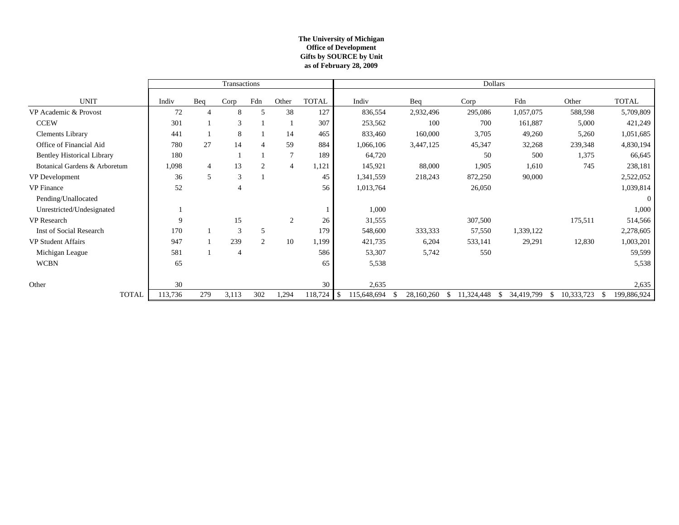#### **The University of Michigan Office of Development as of February 28, 2009 Gifts by SOURCE by Unit**

|                                   | Transactions |                |       |                |                |              | <b>Dollars</b>    |            |            |                             |            |              |  |
|-----------------------------------|--------------|----------------|-------|----------------|----------------|--------------|-------------------|------------|------------|-----------------------------|------------|--------------|--|
| <b>UNIT</b>                       | Indiv        | Beq            | Corp  | Fdn            | Other          | <b>TOTAL</b> | Indiv             | Beq        | Corp       | Fdn                         | Other      | <b>TOTAL</b> |  |
| VP Academic & Provost             | 72           |                | 8     | 5              | 38             | 127          | 836,554           | 2,932,496  | 295,086    | 1,057,075                   | 588,598    | 5,709,809    |  |
| <b>CCEW</b>                       | 301          |                | 3     |                |                | 307          | 253,562           | 100        | 700        | 161,887                     | 5,000      | 421,249      |  |
| <b>Clements Library</b>           | 441          |                | 8     |                | 14             | 465          | 833,460           | 160,000    | 3,705      | 49,260                      | 5,260      | 1,051,685    |  |
| Office of Financial Aid           | 780          | 27             | 14    | $\overline{4}$ | 59             | 884          | 1,066,106         | 3,447,125  | 45,347     | 32,268                      | 239,348    | 4,830,194    |  |
| <b>Bentley Historical Library</b> | 180          |                |       |                | $\overline{7}$ | 189          | 64,720            |            | 50         | 500                         | 1,375      | 66,645       |  |
| Botanical Gardens & Arboretum     | 1,098        | $\overline{4}$ | 13    | 2              | $\overline{4}$ | 1,121        | 145,921           | 88,000     | 1,905      | 1,610                       | 745        | 238,181      |  |
| VP Development                    | 36           | 5              | 3     |                |                | 45           | 1,341,559         | 218,243    | 872,250    | 90,000                      |            | 2,522,052    |  |
| <b>VP</b> Finance                 | 52           |                | 4     |                |                | 56           | 1,013,764         |            | 26,050     |                             |            | 1,039,814    |  |
| Pending/Unallocated               |              |                |       |                |                |              |                   |            |            |                             |            | $\Omega$     |  |
| Unrestricted/Undesignated         |              |                |       |                |                |              | 1,000             |            |            |                             |            | 1,000        |  |
| VP Research                       | 9            |                | 15    |                | $\overline{2}$ | 26           | 31,555            |            | 307,500    |                             | 175,511    | 514,566      |  |
| Inst of Social Research           | 170          |                | 3     | 5              |                | 179          | 548,600           | 333,333    | 57,550     | 1,339,122                   |            | 2,278,605    |  |
| <b>VP Student Affairs</b>         | 947          |                | 239   | 2              | 10             | 1,199        | 421,735           | 6,204      | 533,141    | 29,291                      | 12,830     | 1,003,201    |  |
| Michigan League                   | 581          |                | 4     |                |                | 586          | 53,307            | 5,742      | 550        |                             |            | 59,599       |  |
| <b>WCBN</b>                       | 65           |                |       |                |                | 65           | 5,538             |            |            |                             |            | 5,538        |  |
|                                   |              |                |       |                |                |              |                   |            |            |                             |            |              |  |
| Other                             | 30           |                |       |                |                | 30           | 2,635             |            |            |                             |            | 2,635        |  |
| <b>TOTAL</b>                      | 113,736      | 279            | 3,113 | 302            | 1,294          | 118,724      | \$<br>115,648,694 | 28,160,260 | 11,324,448 | 34,419,799<br><sup>\$</sup> | 10,333,723 | 199,886,924  |  |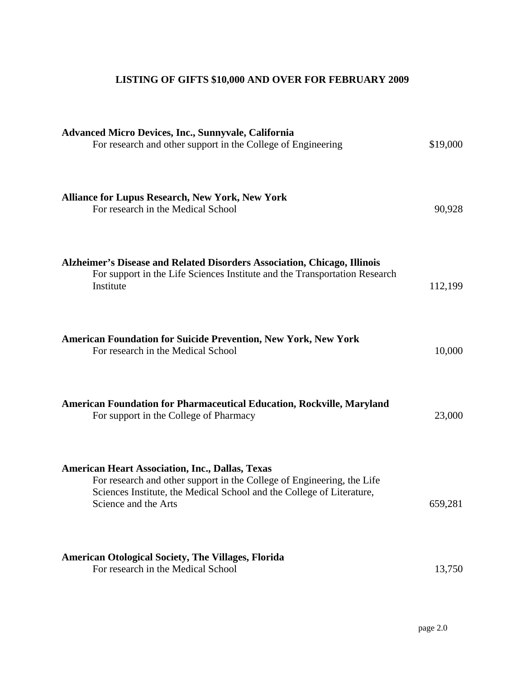# **LISTING OF GIFTS \$10,000 AND OVER FOR FEBRUARY 2009**

| <b>Advanced Micro Devices, Inc., Sunnyvale, California</b><br>For research and other support in the College of Engineering                                                                                                        | \$19,000 |
|-----------------------------------------------------------------------------------------------------------------------------------------------------------------------------------------------------------------------------------|----------|
| <b>Alliance for Lupus Research, New York, New York</b><br>For research in the Medical School                                                                                                                                      | 90,928   |
| Alzheimer's Disease and Related Disorders Association, Chicago, Illinois<br>For support in the Life Sciences Institute and the Transportation Research<br>Institute                                                               | 112,199  |
| <b>American Foundation for Suicide Prevention, New York, New York</b><br>For research in the Medical School                                                                                                                       | 10,000   |
| American Foundation for Pharmaceutical Education, Rockville, Maryland<br>For support in the College of Pharmacy                                                                                                                   | 23,000   |
| <b>American Heart Association, Inc., Dallas, Texas</b><br>For research and other support in the College of Engineering, the Life<br>Sciences Institute, the Medical School and the College of Literature,<br>Science and the Arts | 659,281  |
| <b>American Otological Society, The Villages, Florida</b><br>For research in the Medical School                                                                                                                                   | 13,750   |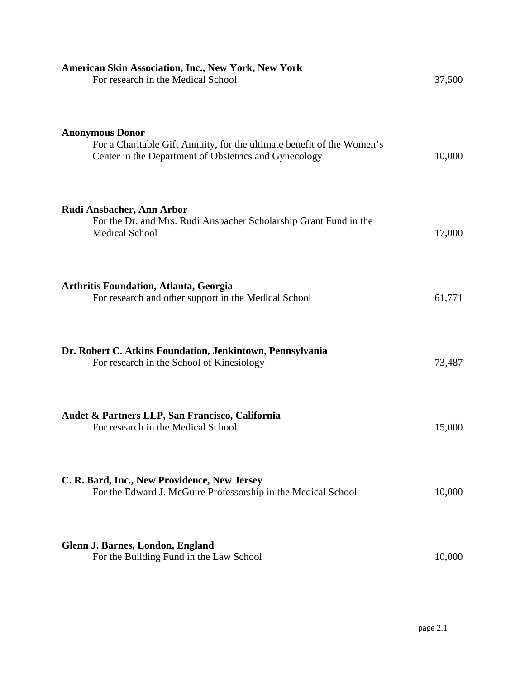| <b>American Skin Association, Inc., New York, New York</b><br>For research in the Medical School                                                          | 37,500 |
|-----------------------------------------------------------------------------------------------------------------------------------------------------------|--------|
| <b>Anonymous Donor</b><br>For a Charitable Gift Annuity, for the ultimate benefit of the Women's<br>Center in the Department of Obstetrics and Gynecology | 10,000 |
| Rudi Ansbacher, Ann Arbor<br>For the Dr. and Mrs. Rudi Ansbacher Scholarship Grant Fund in the<br><b>Medical School</b>                                   | 17,000 |
| <b>Arthritis Foundation, Atlanta, Georgia</b><br>For research and other support in the Medical School                                                     | 61,771 |
| Dr. Robert C. Atkins Foundation, Jenkintown, Pennsylvania<br>For research in the School of Kinesiology                                                    | 73,487 |
| Audet & Partners LLP, San Francisco, California<br>For research in the Medical School                                                                     | 15,000 |
| C. R. Bard, Inc., New Providence, New Jersey<br>For the Edward J. McGuire Professorship in the Medical School                                             | 10,000 |
| Glenn J. Barnes, London, England<br>For the Building Fund in the Law School                                                                               | 10,000 |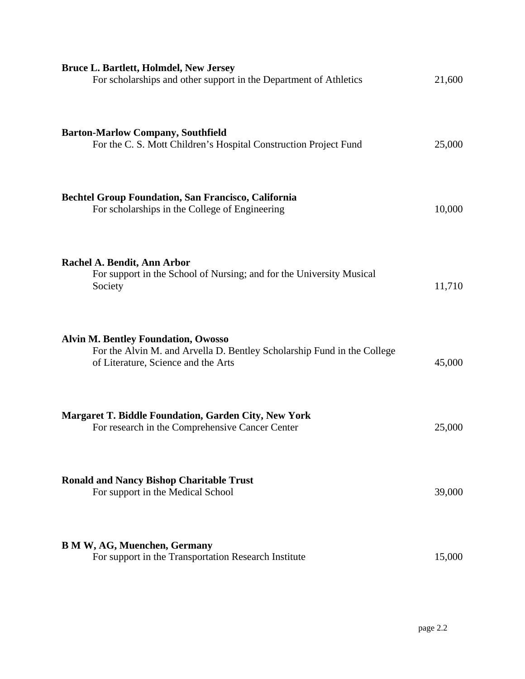| <b>Bruce L. Bartlett, Holmdel, New Jersey</b><br>For scholarships and other support in the Department of Athletics                                           | 21,600 |
|--------------------------------------------------------------------------------------------------------------------------------------------------------------|--------|
| <b>Barton-Marlow Company, Southfield</b><br>For the C. S. Mott Children's Hospital Construction Project Fund                                                 | 25,000 |
| <b>Bechtel Group Foundation, San Francisco, California</b><br>For scholarships in the College of Engineering                                                 | 10,000 |
| Rachel A. Bendit, Ann Arbor<br>For support in the School of Nursing; and for the University Musical<br>Society                                               | 11,710 |
| <b>Alvin M. Bentley Foundation, Owosso</b><br>For the Alvin M. and Arvella D. Bentley Scholarship Fund in the College<br>of Literature, Science and the Arts | 45,000 |
| <b>Margaret T. Biddle Foundation, Garden City, New York</b><br>For research in the Comprehensive Cancer Center                                               | 25,000 |
| <b>Ronald and Nancy Bishop Charitable Trust</b><br>For support in the Medical School                                                                         | 39,000 |
| <b>B M W, AG, Muenchen, Germany</b><br>For support in the Transportation Research Institute                                                                  | 15,000 |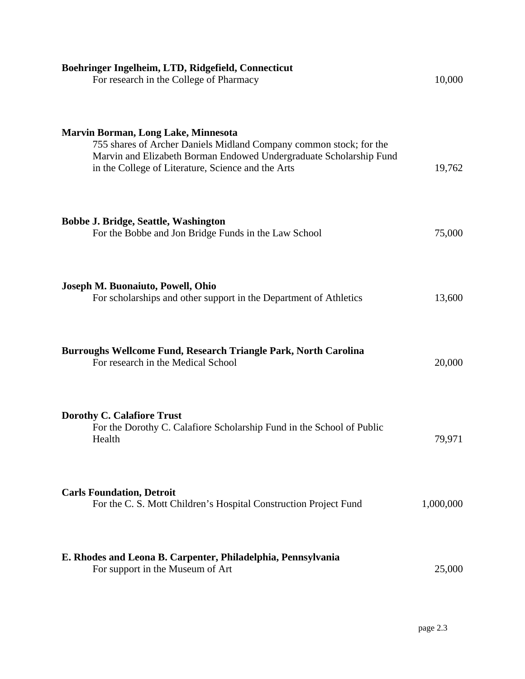| Boehringer Ingelheim, LTD, Ridgefield, Connecticut<br>For research in the College of Pharmacy                                                                                                                                                | 10,000    |
|----------------------------------------------------------------------------------------------------------------------------------------------------------------------------------------------------------------------------------------------|-----------|
| <b>Marvin Borman, Long Lake, Minnesota</b><br>755 shares of Archer Daniels Midland Company common stock; for the<br>Marvin and Elizabeth Borman Endowed Undergraduate Scholarship Fund<br>in the College of Literature, Science and the Arts | 19,762    |
| <b>Bobbe J. Bridge, Seattle, Washington</b><br>For the Bobbe and Jon Bridge Funds in the Law School                                                                                                                                          | 75,000    |
| Joseph M. Buonaiuto, Powell, Ohio<br>For scholarships and other support in the Department of Athletics                                                                                                                                       | 13,600    |
| Burroughs Wellcome Fund, Research Triangle Park, North Carolina<br>For research in the Medical School                                                                                                                                        | 20,000    |
| <b>Dorothy C. Calafiore Trust</b><br>For the Dorothy C. Calafiore Scholarship Fund in the School of Public<br>Health                                                                                                                         | 79,971    |
| <b>Carls Foundation, Detroit</b><br>For the C. S. Mott Children's Hospital Construction Project Fund                                                                                                                                         | 1,000,000 |
| E. Rhodes and Leona B. Carpenter, Philadelphia, Pennsylvania<br>For support in the Museum of Art                                                                                                                                             | 25,000    |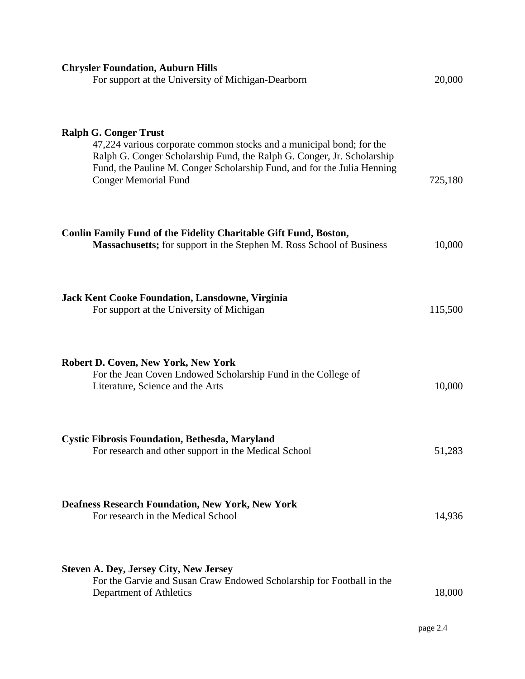| <b>Chrysler Foundation, Auburn Hills</b><br>For support at the University of Michigan-Dearborn                                                                                                                                                                                           | 20,000  |
|------------------------------------------------------------------------------------------------------------------------------------------------------------------------------------------------------------------------------------------------------------------------------------------|---------|
| <b>Ralph G. Conger Trust</b><br>47,224 various corporate common stocks and a municipal bond; for the<br>Ralph G. Conger Scholarship Fund, the Ralph G. Conger, Jr. Scholarship<br>Fund, the Pauline M. Conger Scholarship Fund, and for the Julia Henning<br><b>Conger Memorial Fund</b> | 725,180 |
| <b>Conlin Family Fund of the Fidelity Charitable Gift Fund, Boston,</b><br><b>Massachusetts;</b> for support in the Stephen M. Ross School of Business                                                                                                                                   | 10,000  |
| <b>Jack Kent Cooke Foundation, Lansdowne, Virginia</b><br>For support at the University of Michigan                                                                                                                                                                                      | 115,500 |
| <b>Robert D. Coven, New York, New York</b><br>For the Jean Coven Endowed Scholarship Fund in the College of<br>Literature, Science and the Arts                                                                                                                                          | 10,000  |
| Cystic Fibrosis Foundation, Bethesda, Maryland<br>For research and other support in the Medical School                                                                                                                                                                                   | 51,283  |
| <b>Deafness Research Foundation, New York, New York</b><br>For research in the Medical School                                                                                                                                                                                            | 14,936  |
| <b>Steven A. Dey, Jersey City, New Jersey</b><br>For the Garvie and Susan Craw Endowed Scholarship for Football in the<br>Department of Athletics                                                                                                                                        | 18,000  |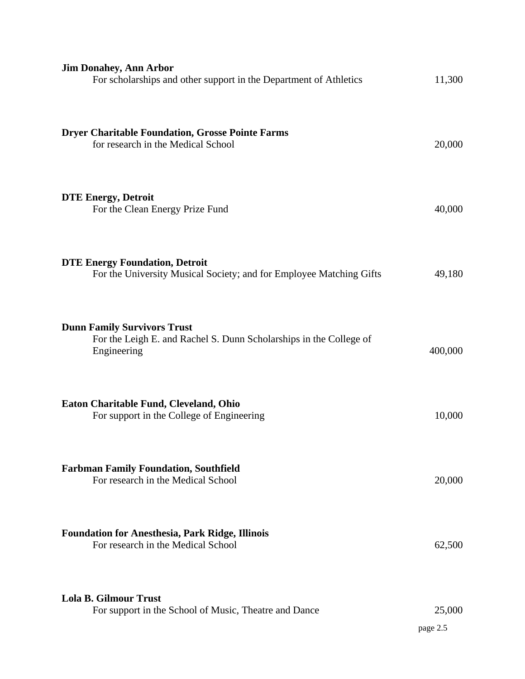| <b>Jim Donahey, Ann Arbor</b><br>For scholarships and other support in the Department of Athletics                      | 11,300             |
|-------------------------------------------------------------------------------------------------------------------------|--------------------|
| <b>Dryer Charitable Foundation, Grosse Pointe Farms</b><br>for research in the Medical School                           | 20,000             |
| <b>DTE Energy, Detroit</b><br>For the Clean Energy Prize Fund                                                           | 40,000             |
| <b>DTE Energy Foundation, Detroit</b><br>For the University Musical Society; and for Employee Matching Gifts            | 49,180             |
| <b>Dunn Family Survivors Trust</b><br>For the Leigh E. and Rachel S. Dunn Scholarships in the College of<br>Engineering | 400,000            |
| Eaton Charitable Fund, Cleveland, Ohio<br>For support in the College of Engineering                                     | 10,000             |
| <b>Farbman Family Foundation, Southfield</b><br>For research in the Medical School                                      | 20,000             |
| <b>Foundation for Anesthesia, Park Ridge, Illinois</b><br>For research in the Medical School                            | 62,500             |
| <b>Lola B. Gilmour Trust</b><br>For support in the School of Music, Theatre and Dance                                   | 25,000<br>page 2.5 |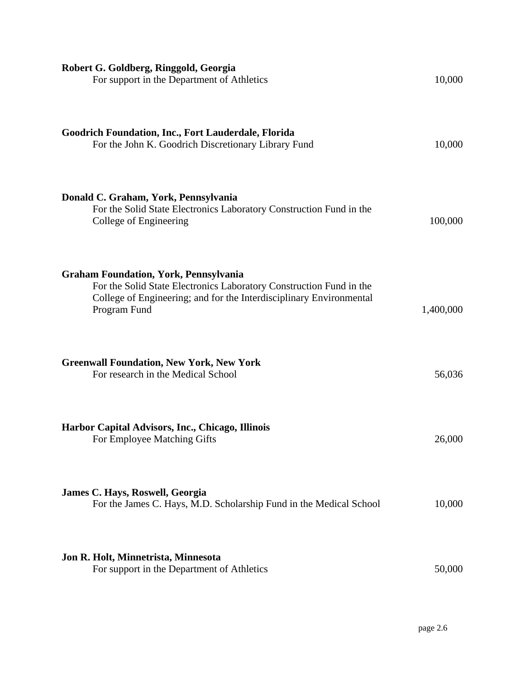| Robert G. Goldberg, Ringgold, Georgia<br>For support in the Department of Athletics                                                                                                                        | 10,000    |
|------------------------------------------------------------------------------------------------------------------------------------------------------------------------------------------------------------|-----------|
| Goodrich Foundation, Inc., Fort Lauderdale, Florida<br>For the John K. Goodrich Discretionary Library Fund                                                                                                 | 10,000    |
| Donald C. Graham, York, Pennsylvania<br>For the Solid State Electronics Laboratory Construction Fund in the<br>College of Engineering                                                                      | 100,000   |
| <b>Graham Foundation, York, Pennsylvania</b><br>For the Solid State Electronics Laboratory Construction Fund in the<br>College of Engineering; and for the Interdisciplinary Environmental<br>Program Fund | 1,400,000 |
| <b>Greenwall Foundation, New York, New York</b><br>For research in the Medical School                                                                                                                      | 56,036    |
| Harbor Capital Advisors, Inc., Chicago, Illinois<br>For Employee Matching Gifts                                                                                                                            | 26,000    |
| James C. Hays, Roswell, Georgia<br>For the James C. Hays, M.D. Scholarship Fund in the Medical School                                                                                                      | 10,000    |
| Jon R. Holt, Minnetrista, Minnesota<br>For support in the Department of Athletics                                                                                                                          | 50,000    |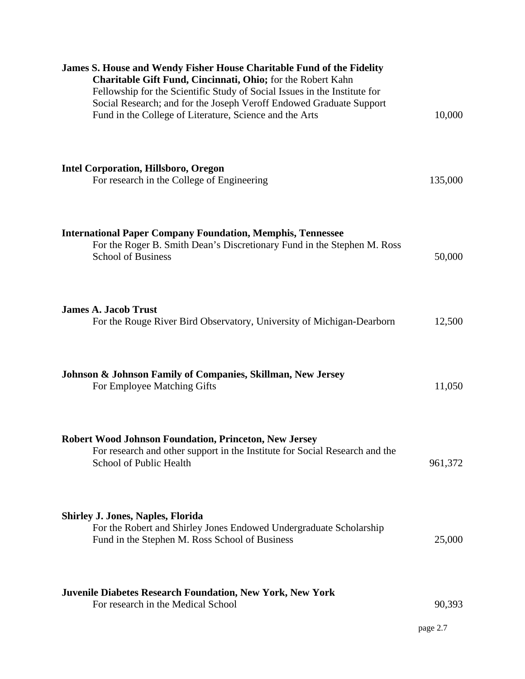| <b>James S. House and Wendy Fisher House Charitable Fund of the Fidelity</b><br>Charitable Gift Fund, Cincinnati, Ohio; for the Robert Kahn<br>Fellowship for the Scientific Study of Social Issues in the Institute for<br>Social Research; and for the Joseph Veroff Endowed Graduate Support<br>Fund in the College of Literature, Science and the Arts | 10,000             |
|------------------------------------------------------------------------------------------------------------------------------------------------------------------------------------------------------------------------------------------------------------------------------------------------------------------------------------------------------------|--------------------|
| <b>Intel Corporation, Hillsboro, Oregon</b><br>For research in the College of Engineering                                                                                                                                                                                                                                                                  | 135,000            |
| <b>International Paper Company Foundation, Memphis, Tennessee</b><br>For the Roger B. Smith Dean's Discretionary Fund in the Stephen M. Ross<br><b>School of Business</b>                                                                                                                                                                                  | 50,000             |
| <b>James A. Jacob Trust</b><br>For the Rouge River Bird Observatory, University of Michigan-Dearborn                                                                                                                                                                                                                                                       | 12,500             |
| Johnson & Johnson Family of Companies, Skillman, New Jersey<br>For Employee Matching Gifts                                                                                                                                                                                                                                                                 | 11,050             |
| <b>Robert Wood Johnson Foundation, Princeton, New Jersey</b><br>For research and other support in the Institute for Social Research and the<br>School of Public Health                                                                                                                                                                                     | 961,372            |
| <b>Shirley J. Jones, Naples, Florida</b><br>For the Robert and Shirley Jones Endowed Undergraduate Scholarship<br>Fund in the Stephen M. Ross School of Business                                                                                                                                                                                           | 25,000             |
| <b>Juvenile Diabetes Research Foundation, New York, New York</b><br>For research in the Medical School                                                                                                                                                                                                                                                     | 90,393<br>page 2.7 |
|                                                                                                                                                                                                                                                                                                                                                            |                    |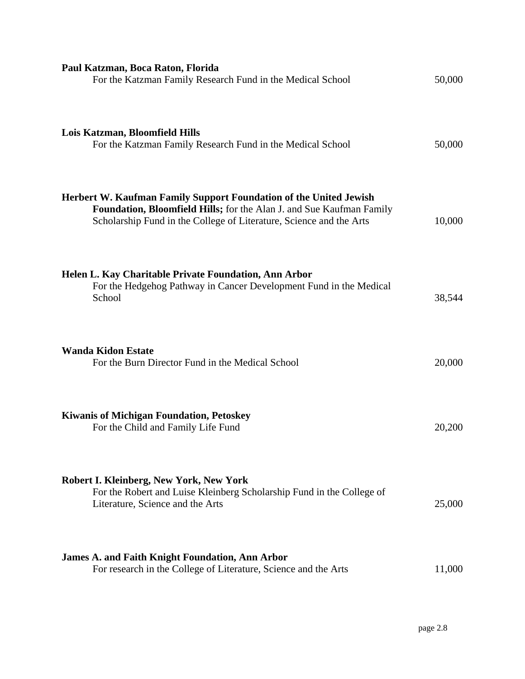| Paul Katzman, Boca Raton, Florida<br>For the Katzman Family Research Fund in the Medical School                                                                                                                  | 50,000 |
|------------------------------------------------------------------------------------------------------------------------------------------------------------------------------------------------------------------|--------|
| Lois Katzman, Bloomfield Hills<br>For the Katzman Family Research Fund in the Medical School                                                                                                                     | 50,000 |
| Herbert W. Kaufman Family Support Foundation of the United Jewish<br>Foundation, Bloomfield Hills; for the Alan J. and Sue Kaufman Family<br>Scholarship Fund in the College of Literature, Science and the Arts | 10,000 |
| Helen L. Kay Charitable Private Foundation, Ann Arbor<br>For the Hedgehog Pathway in Cancer Development Fund in the Medical<br>School                                                                            | 38,544 |
| <b>Wanda Kidon Estate</b><br>For the Burn Director Fund in the Medical School                                                                                                                                    | 20,000 |
| <b>Kiwanis of Michigan Foundation, Petoskey</b><br>For the Child and Family Life Fund                                                                                                                            | 20,200 |
| Robert I. Kleinberg, New York, New York<br>For the Robert and Luise Kleinberg Scholarship Fund in the College of<br>Literature, Science and the Arts                                                             | 25,000 |
| <b>James A. and Faith Knight Foundation, Ann Arbor</b><br>For research in the College of Literature, Science and the Arts                                                                                        | 11,000 |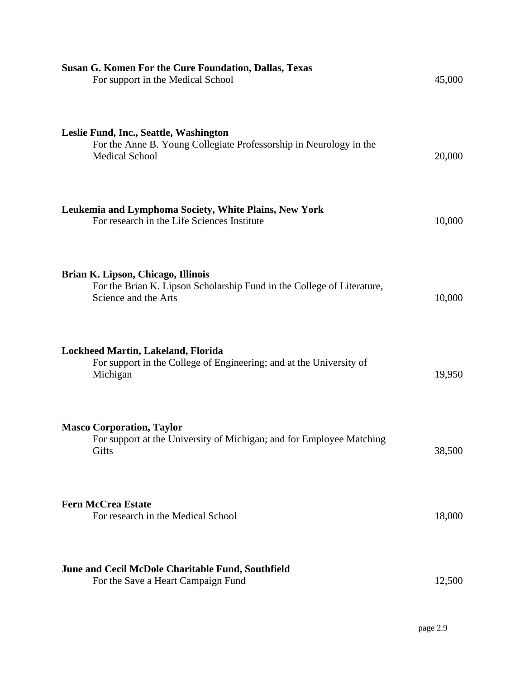| <b>Susan G. Komen For the Cure Foundation, Dallas, Texas</b><br>For support in the Medical School                                     | 45,000 |
|---------------------------------------------------------------------------------------------------------------------------------------|--------|
| Leslie Fund, Inc., Seattle, Washington<br>For the Anne B. Young Collegiate Professorship in Neurology in the<br><b>Medical School</b> | 20,000 |
| Leukemia and Lymphoma Society, White Plains, New York<br>For research in the Life Sciences Institute                                  | 10,000 |
| Brian K. Lipson, Chicago, Illinois<br>For the Brian K. Lipson Scholarship Fund in the College of Literature,<br>Science and the Arts  | 10,000 |
| Lockheed Martin, Lakeland, Florida<br>For support in the College of Engineering; and at the University of<br>Michigan                 | 19,950 |
| <b>Masco Corporation, Taylor</b><br>For support at the University of Michigan; and for Employee Matching<br>Gifts                     | 38,500 |
| <b>Fern McCrea Estate</b><br>For research in the Medical School                                                                       | 18,000 |
| June and Cecil McDole Charitable Fund, Southfield<br>For the Save a Heart Campaign Fund                                               | 12,500 |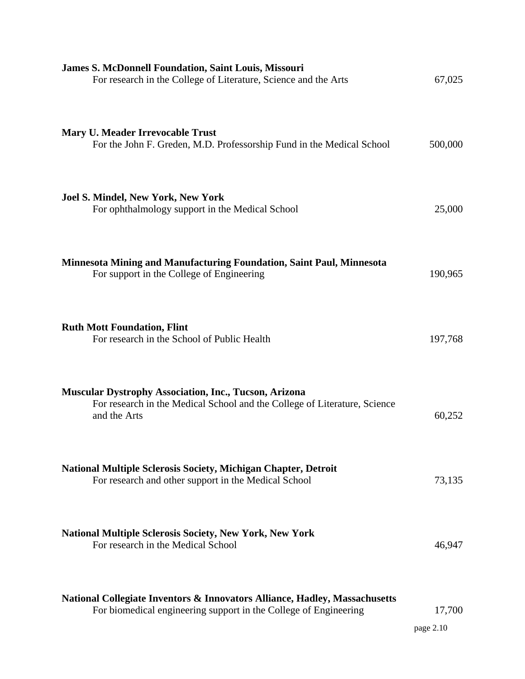| <b>James S. McDonnell Foundation, Saint Louis, Missouri</b><br>For research in the College of Literature, Science and the Arts                            | 67,025              |
|-----------------------------------------------------------------------------------------------------------------------------------------------------------|---------------------|
| <b>Mary U. Meader Irrevocable Trust</b><br>For the John F. Greden, M.D. Professorship Fund in the Medical School                                          | 500,000             |
| <b>Joel S. Mindel, New York, New York</b><br>For ophthalmology support in the Medical School                                                              | 25,000              |
| <b>Minnesota Mining and Manufacturing Foundation, Saint Paul, Minnesota</b><br>For support in the College of Engineering                                  | 190,965             |
| <b>Ruth Mott Foundation, Flint</b><br>For research in the School of Public Health                                                                         | 197,768             |
| <b>Muscular Dystrophy Association, Inc., Tucson, Arizona</b><br>For research in the Medical School and the College of Literature, Science<br>and the Arts | 60,252              |
| <b>National Multiple Sclerosis Society, Michigan Chapter, Detroit</b><br>For research and other support in the Medical School                             | 73,135              |
| <b>National Multiple Sclerosis Society, New York, New York</b><br>For research in the Medical School                                                      | 46,947              |
| National Collegiate Inventors & Innovators Alliance, Hadley, Massachusetts<br>For biomedical engineering support in the College of Engineering            | 17,700<br>page 2.10 |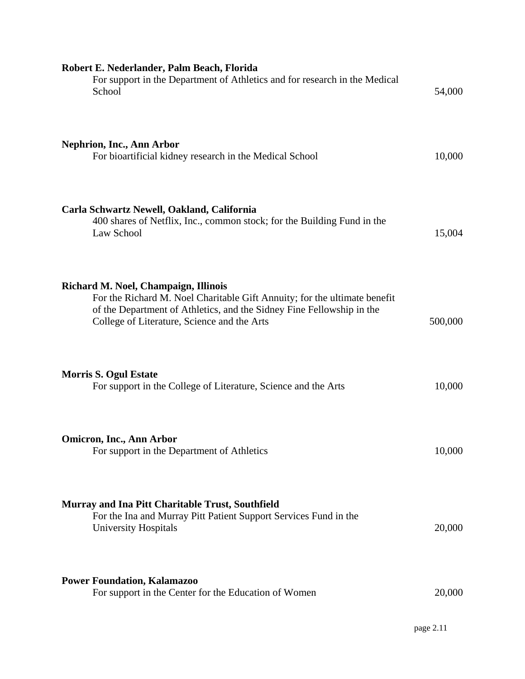| Robert E. Nederlander, Palm Beach, Florida<br>For support in the Department of Athletics and for research in the Medical<br>School                                                                                                        | 54,000  |
|-------------------------------------------------------------------------------------------------------------------------------------------------------------------------------------------------------------------------------------------|---------|
| <b>Nephrion, Inc., Ann Arbor</b><br>For bioartificial kidney research in the Medical School                                                                                                                                               | 10,000  |
| Carla Schwartz Newell, Oakland, California<br>400 shares of Netflix, Inc., common stock; for the Building Fund in the<br>Law School                                                                                                       | 15,004  |
| Richard M. Noel, Champaign, Illinois<br>For the Richard M. Noel Charitable Gift Annuity; for the ultimate benefit<br>of the Department of Athletics, and the Sidney Fine Fellowship in the<br>College of Literature, Science and the Arts | 500,000 |
| <b>Morris S. Ogul Estate</b><br>For support in the College of Literature, Science and the Arts                                                                                                                                            | 10,000  |
| <b>Omicron, Inc., Ann Arbor</b><br>For support in the Department of Athletics                                                                                                                                                             | 10,000  |
| Murray and Ina Pitt Charitable Trust, Southfield<br>For the Ina and Murray Pitt Patient Support Services Fund in the<br><b>University Hospitals</b>                                                                                       | 20,000  |
| <b>Power Foundation, Kalamazoo</b><br>For support in the Center for the Education of Women                                                                                                                                                | 20,000  |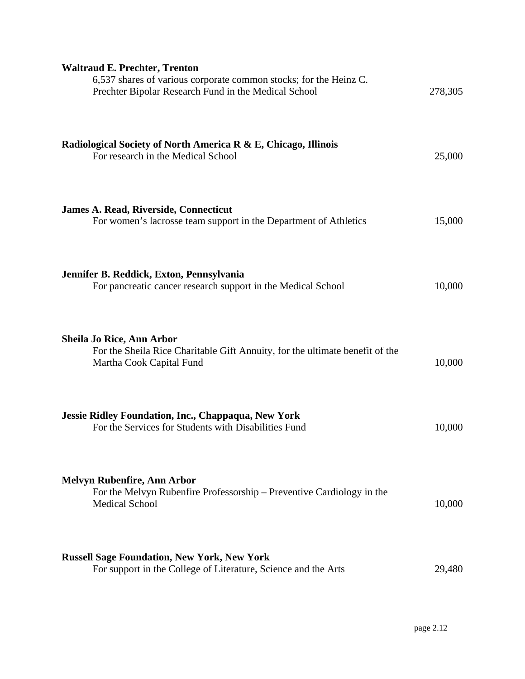| <b>Waltraud E. Prechter, Trenton</b><br>6,537 shares of various corporate common stocks; for the Heinz C.<br>Prechter Bipolar Research Fund in the Medical School | 278,305 |
|-------------------------------------------------------------------------------------------------------------------------------------------------------------------|---------|
| Radiological Society of North America R & E, Chicago, Illinois<br>For research in the Medical School                                                              | 25,000  |
| <b>James A. Read, Riverside, Connecticut</b><br>For women's lacrosse team support in the Department of Athletics                                                  | 15,000  |
| Jennifer B. Reddick, Exton, Pennsylvania<br>For pancreatic cancer research support in the Medical School                                                          | 10,000  |
| <b>Sheila Jo Rice, Ann Arbor</b><br>For the Sheila Rice Charitable Gift Annuity, for the ultimate benefit of the<br>Martha Cook Capital Fund                      | 10,000  |
| Jessie Ridley Foundation, Inc., Chappaqua, New York<br>For the Services for Students with Disabilities Fund                                                       | 10,000  |
| Melvyn Rubenfire, Ann Arbor<br>For the Melvyn Rubenfire Professorship – Preventive Cardiology in the<br><b>Medical School</b>                                     | 10,000  |
| <b>Russell Sage Foundation, New York, New York</b><br>For support in the College of Literature, Science and the Arts                                              | 29,480  |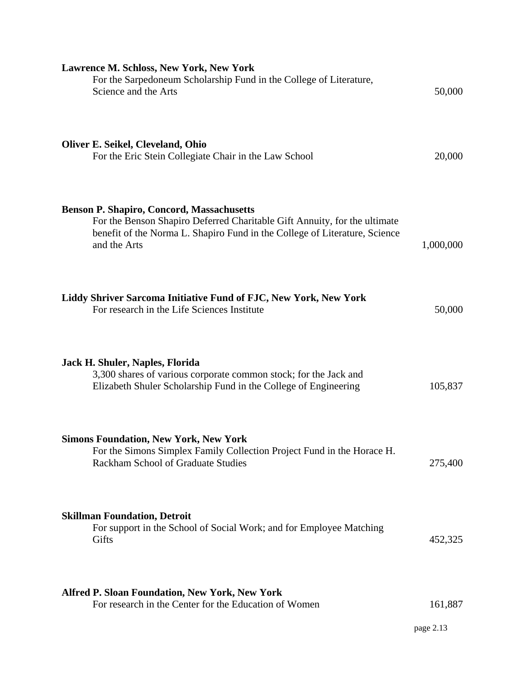| <b>Lawrence M. Schloss, New York, New York</b><br>For the Sarpedoneum Scholarship Fund in the College of Literature,<br>Science and the Arts                                                                                | 50,000    |
|-----------------------------------------------------------------------------------------------------------------------------------------------------------------------------------------------------------------------------|-----------|
| Oliver E. Seikel, Cleveland, Ohio<br>For the Eric Stein Collegiate Chair in the Law School                                                                                                                                  | 20,000    |
| <b>Benson P. Shapiro, Concord, Massachusetts</b><br>For the Benson Shapiro Deferred Charitable Gift Annuity, for the ultimate<br>benefit of the Norma L. Shapiro Fund in the College of Literature, Science<br>and the Arts | 1,000,000 |
| Liddy Shriver Sarcoma Initiative Fund of FJC, New York, New York<br>For research in the Life Sciences Institute                                                                                                             | 50,000    |
| Jack H. Shuler, Naples, Florida<br>3,300 shares of various corporate common stock; for the Jack and<br>Elizabeth Shuler Scholarship Fund in the College of Engineering                                                      | 105,837   |
| <b>Simons Foundation, New York, New York</b><br>For the Simons Simplex Family Collection Project Fund in the Horace H.<br><b>Rackham School of Graduate Studies</b>                                                         | 275,400   |
| <b>Skillman Foundation, Detroit</b><br>For support in the School of Social Work; and for Employee Matching<br>Gifts                                                                                                         | 452,325   |
| <b>Alfred P. Sloan Foundation, New York, New York</b><br>For research in the Center for the Education of Women                                                                                                              | 161,887   |
|                                                                                                                                                                                                                             | page 2.13 |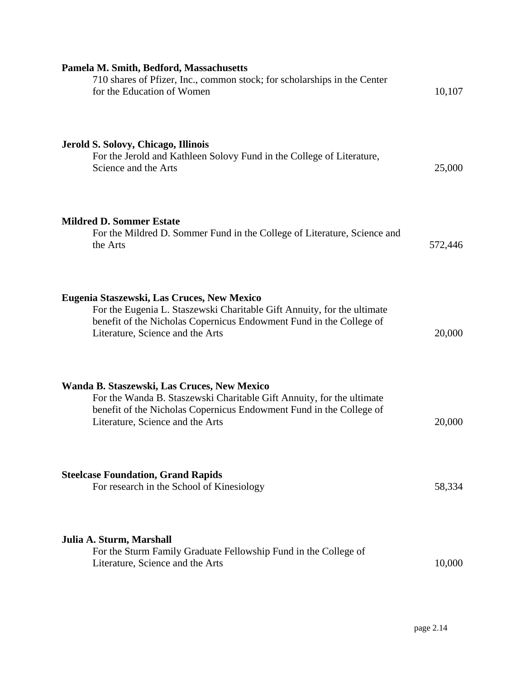| Pamela M. Smith, Bedford, Massachusetts                                                                                                                                                                                          |         |
|----------------------------------------------------------------------------------------------------------------------------------------------------------------------------------------------------------------------------------|---------|
| 710 shares of Pfizer, Inc., common stock; for scholarships in the Center<br>for the Education of Women                                                                                                                           | 10,107  |
| Jerold S. Solovy, Chicago, Illinois<br>For the Jerold and Kathleen Solovy Fund in the College of Literature,<br>Science and the Arts                                                                                             | 25,000  |
| <b>Mildred D. Sommer Estate</b><br>For the Mildred D. Sommer Fund in the College of Literature, Science and<br>the Arts                                                                                                          | 572,446 |
| Eugenia Staszewski, Las Cruces, New Mexico<br>For the Eugenia L. Staszewski Charitable Gift Annuity, for the ultimate<br>benefit of the Nicholas Copernicus Endowment Fund in the College of<br>Literature, Science and the Arts | 20,000  |
| Wanda B. Staszewski, Las Cruces, New Mexico<br>For the Wanda B. Staszewski Charitable Gift Annuity, for the ultimate<br>benefit of the Nicholas Copernicus Endowment Fund in the College of<br>Literature, Science and the Arts  | 20,000  |
| <b>Steelcase Foundation, Grand Rapids</b><br>For research in the School of Kinesiology                                                                                                                                           | 58,334  |
| Julia A. Sturm, Marshall<br>For the Sturm Family Graduate Fellowship Fund in the College of<br>Literature, Science and the Arts                                                                                                  | 10,000  |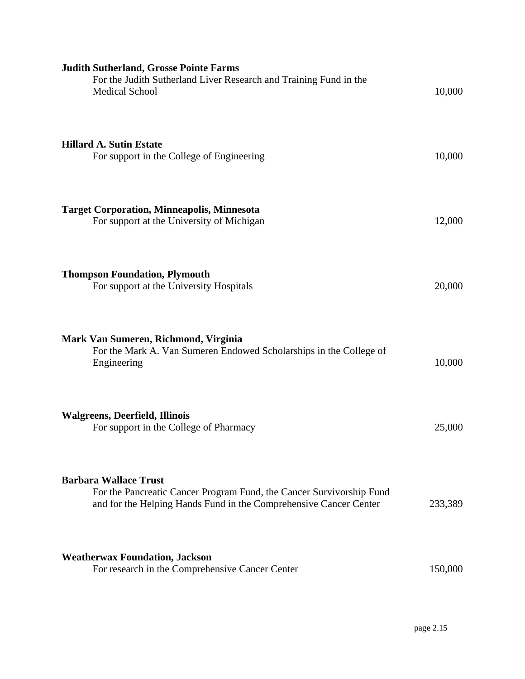| <b>Judith Sutherland, Grosse Pointe Farms</b><br>For the Judith Sutherland Liver Research and Training Fund in the<br><b>Medical School</b>                               | 10,000  |
|---------------------------------------------------------------------------------------------------------------------------------------------------------------------------|---------|
| <b>Hillard A. Sutin Estate</b><br>For support in the College of Engineering                                                                                               | 10,000  |
| <b>Target Corporation, Minneapolis, Minnesota</b><br>For support at the University of Michigan                                                                            | 12,000  |
| <b>Thompson Foundation, Plymouth</b><br>For support at the University Hospitals                                                                                           | 20,000  |
| Mark Van Sumeren, Richmond, Virginia<br>For the Mark A. Van Sumeren Endowed Scholarships in the College of<br>Engineering                                                 | 10,000  |
| <b>Walgreens, Deerfield, Illinois</b><br>For support in the College of Pharmacy                                                                                           | 25,000  |
| <b>Barbara Wallace Trust</b><br>For the Pancreatic Cancer Program Fund, the Cancer Survivorship Fund<br>and for the Helping Hands Fund in the Comprehensive Cancer Center | 233,389 |
| <b>Weatherwax Foundation, Jackson</b><br>For research in the Comprehensive Cancer Center                                                                                  | 150,000 |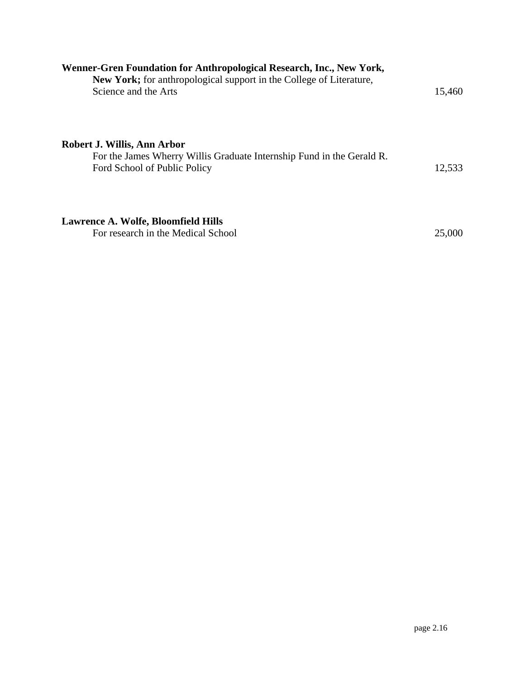| Wenner-Gren Foundation for Anthropological Research, Inc., New York,<br><b>New York;</b> for anthropological support in the College of Literature, |        |
|----------------------------------------------------------------------------------------------------------------------------------------------------|--------|
| Science and the Arts                                                                                                                               | 15,460 |
| Robert J. Willis, Ann Arbor                                                                                                                        |        |
| For the James Wherry Willis Graduate Internship Fund in the Gerald R.<br>Ford School of Public Policy                                              | 12,533 |
| Lawrence A. Wolfe, Bloomfield Hills<br>For research in the Medical School                                                                          | 25,000 |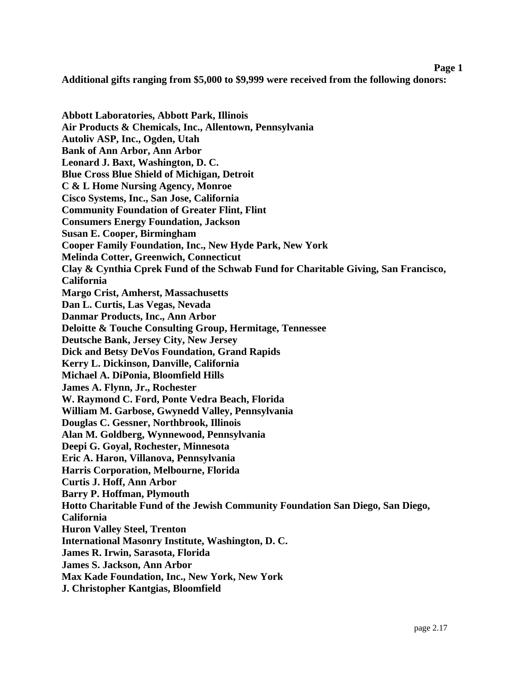## **Page 1 Additional gifts ranging from \$5,000 to \$9,999 were received from the following donors:**

**Abbott Laboratories, Abbott Park, Illinois Air Products & Chemicals, Inc., Allentown, Pennsylvania Autoliv ASP, Inc., Ogden, Utah Bank of Ann Arbor, Ann Arbor Leonard J. Baxt, Washington, D. C. Blue Cross Blue Shield of Michigan, Detroit C & L Home Nursing Agency, Monroe Cisco Systems, Inc., San Jose, California Community Foundation of Greater Flint, Flint Consumers Energy Foundation, Jackson Susan E. Cooper, Birmingham Cooper Family Foundation, Inc., New Hyde Park, New York Melinda Cotter, Greenwich, Connecticut Clay & Cynthia Cprek Fund of the Schwab Fund for Charitable Giving, San Francisco, California Margo Crist, Amherst, Massachusetts Dan L. Curtis, Las Vegas, Nevada Danmar Products, Inc., Ann Arbor Deloitte & Touche Consulting Group, Hermitage, Tennessee Deutsche Bank, Jersey City, New Jersey Dick and Betsy DeVos Foundation, Grand Rapids Kerry L. Dickinson, Danville, California Michael A. DiPonia, Bloomfield Hills James A. Flynn, Jr., Rochester W. Raymond C. Ford, Ponte Vedra Beach, Florida William M. Garbose, Gwynedd Valley, Pennsylvania Douglas C. Gessner, Northbrook, Illinois Alan M. Goldberg, Wynnewood, Pennsylvania Deepi G. Goyal, Rochester, Minnesota Eric A. Haron, Villanova, Pennsylvania Harris Corporation, Melbourne, Florida Curtis J. Hoff, Ann Arbor Barry P. Hoffman, Plymouth Hotto Charitable Fund of the Jewish Community Foundation San Diego, San Diego, California Huron Valley Steel, Trenton International Masonry Institute, Washington, D. C. James R. Irwin, Sarasota, Florida James S. Jackson, Ann Arbor Max Kade Foundation, Inc., New York, New York J. Christopher Kantgias, Bloomfield**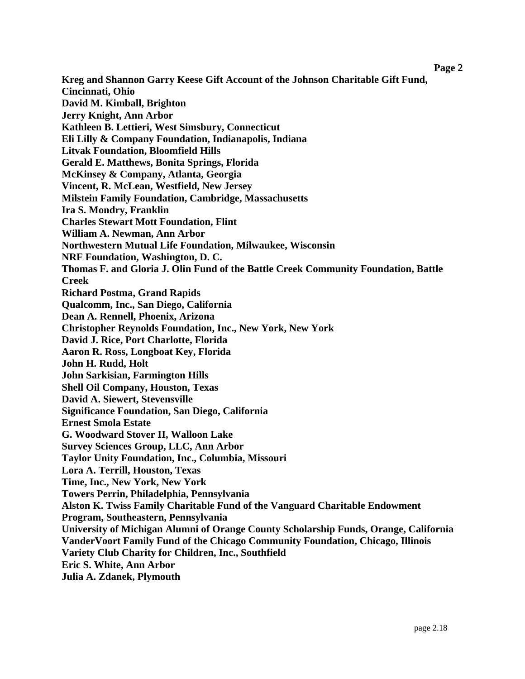**Page 2** 

**Kreg and Shannon Garry Keese Gift Account of the Johnson Charitable Gift Fund, Cincinnati, Ohio David M. Kimball, Brighton Jerry Knight, Ann Arbor Kathleen B. Lettieri, West Simsbury, Connecticut Eli Lilly & Company Foundation, Indianapolis, Indiana Litvak Foundation, Bloomfield Hills Gerald E. Matthews, Bonita Springs, Florida McKinsey & Company, Atlanta, Georgia Vincent, R. McLean, Westfield, New Jersey Milstein Family Foundation, Cambridge, Massachusetts Ira S. Mondry, Franklin Charles Stewart Mott Foundation, Flint William A. Newman, Ann Arbor Northwestern Mutual Life Foundation, Milwaukee, Wisconsin NRF Foundation, Washington, D. C. Thomas F. and Gloria J. Olin Fund of the Battle Creek Community Foundation, Battle Creek Richard Postma, Grand Rapids Qualcomm, Inc., San Diego, California Dean A. Rennell, Phoenix, Arizona Christopher Reynolds Foundation, Inc., New York, New York David J. Rice, Port Charlotte, Florida Aaron R. Ross, Longboat Key, Florida John H. Rudd, Holt John Sarkisian, Farmington Hills Shell Oil Company, Houston, Texas David A. Siewert, Stevensville Significance Foundation, San Diego, California Ernest Smola Estate G. Woodward Stover II, Walloon Lake Survey Sciences Group, LLC, Ann Arbor Taylor Unity Foundation, Inc., Columbia, Missouri Lora A. Terrill, Houston, Texas Time, Inc., New York, New York Towers Perrin, Philadelphia, Pennsylvania Alston K. Twiss Family Charitable Fund of the Vanguard Charitable Endowment Program, Southeastern, Pennsylvania University of Michigan Alumni of Orange County Scholarship Funds, Orange, California VanderVoort Family Fund of the Chicago Community Foundation, Chicago, Illinois Variety Club Charity for Children, Inc., Southfield Eric S. White, Ann Arbor Julia A. Zdanek, Plymouth**